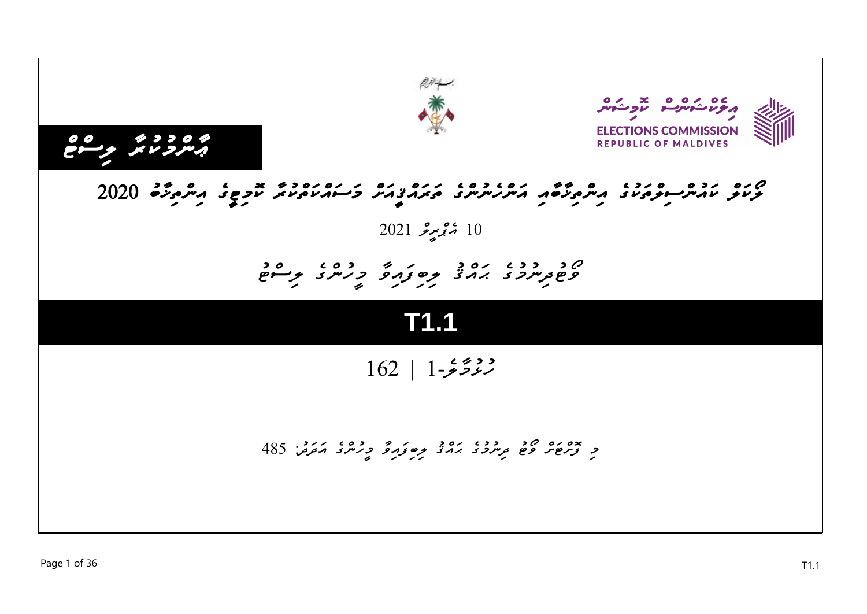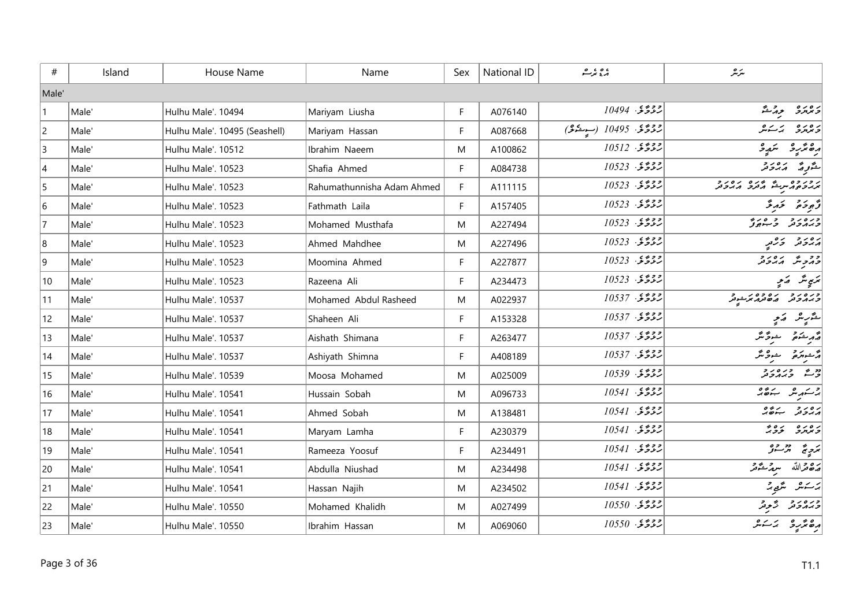| #              | Island | House Name                    | Name                       | Sex       | National ID | ، ه ، بر <u>م</u>            | ىئرىتر                                                                     |
|----------------|--------|-------------------------------|----------------------------|-----------|-------------|------------------------------|----------------------------------------------------------------------------|
| Male'          |        |                               |                            |           |             |                              |                                                                            |
|                | Male'  | Hulhu Male'. 10494            | Mariyam Liusha             | F         | A076140     | $10494.$ \$\$\$\$            | حەرشىگە<br>ويوبره                                                          |
| $ 2\rangle$    | Male'  | Hulhu Male'. 10495 (Seashell) | Mariyam Hassan             | F         | A087668     | رْدْدَّةَ. 10495 (سِيسْدَمْ) | ئەسەتىر<br>ر ه ر ه<br><del>د</del> بربرگ                                   |
| $\vert$ 3      | Male'  | Hulhu Male'. 10512            | Ibrahim Naeem              | M         | A100862     | 10512.533                    | رە ئرىر ئىر                                                                |
| $\overline{4}$ | Male'  | Hulhu Male'. 10523            | Shafia Ahmed               | F         | A084738     | 10523.552                    | شگورگ مربرونر                                                              |
| $\overline{5}$ | Male'  | Hulhu Male'. 10523            | Rahumathunnisha Adam Ahmed | F.        | A111115     | 10523.552                    | ر ور وه<br>بربروج مرس شگر مرفرد مربروفر                                    |
| $\overline{6}$ | Male'  | Hulhu Male'. 10523            | Fathmath Laila             | F         | A157405     | 10523.5522                   | وَجوحَةً تَحْمَدِ تَحْ                                                     |
| 7              | Male'  | Hulhu Male'. 10523            | Mohamed Musthafa           | ${\sf M}$ | A227494     | 10523.5522                   | ورەرو وەرە                                                                 |
| $\overline{8}$ | Male'  | Hulhu Male'. 10523            | Ahmed Mahdhee              | ${\sf M}$ | A227496     | 10523.552                    | برەر ئەرەپر                                                                |
| 9              | Male'  | Hulhu Male'. 10523            | Moomina Ahmed              | F         | A227877     | 10523.522                    | כתכת הפניב                                                                 |
| $ 10\rangle$   | Male'  | Hulhu Male'. 10523            | Razeena Ali                | F         | A234473     | 10523.552                    | برېم تر په کړې                                                             |
| 11             | Male'  | Hulhu Male'. 10537            | Mohamed Abdul Rasheed      | M         | A022937     | 10537.552                    | وره رو ده وه رويد و<br><i>وبرووند م</i> ه <i>تومر بر</i> ش <sub>و</sub> تر |
| 12             | Male'  | Hulhu Male'. 10537            | Shaheen Ali                | F         | A153328     | 10537.552                    | ڪرپر <sub>مک</sub> ر                                                       |
| 13             | Male'  | Hulhu Male'. 10537            | Aishath Shimana            | F         | A263477     | 10537.5522                   |                                                                            |
| 14             | Male'  | Hulhu Male'. 10537            | Ashiyath Shimna            | F         | A408189     | 10537.552                    | و شودگر در شود مگر<br>در شودگر                                             |
| 15             | Male'  | Hulhu Male'. 10539            | Moosa Mohamed              | M         | A025009     | 10539.552                    | ووقع وره د و                                                               |
| 16             | Male'  | Hulhu Male'. 10541            | Hussain Sobah              | M         | A096733     | $10541.$ \$\$32              | بر کرمر شرکت دیده بر                                                       |
| 17             | Male'  | Hulhu Male'. 10541            | Ahmed Sobah                | M         | A138481     | $10541.$ \$\$32              | رەرد بەھ                                                                   |
| 18             | Male'  | Hulhu Male'. 10541            | Maryam Lamha               | F         | A230379     | $10541.$ \$\$32              | ر ه ر ه<br><del>و</del> بربرو<br>ىرە بۇ                                    |
| 19             | Male'  | Hulhu Male'. 10541            | Rameeza Yoosuf             | F         | A234491     | $10541.$ \$\$\$\$            | ىرَدِ پِنْ مَرْرْدْ و                                                      |
| 20             | Male'  | Hulhu Male'. 10541            | Abdulla Niushad            | M         | A234498     | $10541.$ \$\$\$3             | <b>بَرَڪوتر</b> اللّٰه<br>سرچ شو تر                                        |
| 21             | Male'  | Hulhu Male'. 10541            | Hassan Najih               | M         | A234502     | $10541.$ \$\$\$\$            | ىز سەيھى سىھى بىر                                                          |
| 22             | Male'  | Hulhu Male'. 10550            | Mohamed Khalidh            | M         | A027499     | 10550.533                    | ورەر و ور                                                                  |
| 23             | Male'  | Hulhu Male'. 10550            | Ibrahim Hassan             | M         | A069060     | 10550.533                    | رەپرىر بەسىر                                                               |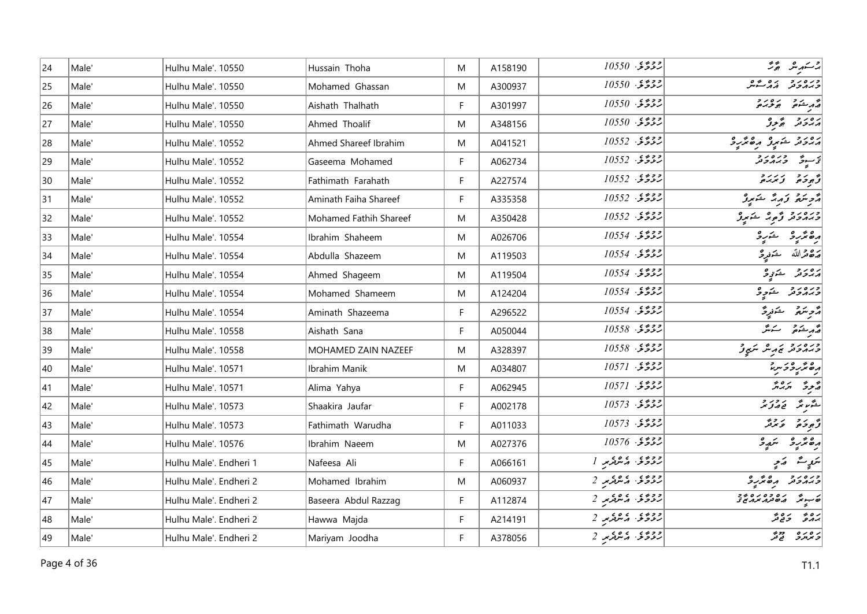| 24 | Male' | Hulhu Male'. 10550     | Hussain Thoha          | M | A158190 | 10550.5522         | جرسكور عمر مجرشر                              |
|----|-------|------------------------|------------------------|---|---------|--------------------|-----------------------------------------------|
| 25 | Male' | Hulhu Male'. 10550     | Mohamed Ghassan        | M | A300937 | 10550.533          | ورەرو بەھ شەر                                 |
| 26 | Male' | Hulhu Male'. 10550     | Aishath Thalhath       | F | A301997 | 10550.533          | أمر مشوم وكالمرد                              |
| 27 | Male' | Hulhu Male'. 10550     | Ahmed Thoalif          | M | A348156 | 10550.5522         | رەرد پەر                                      |
| 28 | Male' | Hulhu Male'. 10552     | Ahmed Shareef Ibrahim  | M | A041521 | 10552.552          | رورد شهرو رەئزرو                              |
| 29 | Male' | Hulhu Male'. 10552     | Gaseema Mohamed        | F | A062734 | 10552.332          | اپر سوځ وره د <del>د</del>                    |
| 30 | Male' | Hulhu Male'. 10552     | Fathimath Farahath     | F | A227574 | 10552.532          | وتجارح وتمردح                                 |
| 31 | Male' | Hulhu Male'. 10552     | Aminath Faiha Shareef  | F | A335358 | 10552.532          | أأترجم وربا خبرو                              |
| 32 | Male' | Hulhu Male'. 10552     | Mohamed Fathih Shareef | M | A350428 | 10552.332          | ورور و ژور ځمړو                               |
| 33 | Male' | Hulhu Male'. 10554     | Ibrahim Shaheem        | M | A026706 | 10554.532          | رە ئەر ئىن ئ                                  |
| 34 | Male' | Hulhu Male'. 10554     | Abdulla Shazeem        | M | A119503 | 10554.5522         | ر دورالله ش <del>ر</del> نورد                 |
| 35 | Male' | Hulhu Male'. 10554     | Ahmed Shageem          | M | A119504 | 10554.533          | دەر دېم سىتى ئىچى                             |
| 36 | Male' | Hulhu Male'. 10554     | Mohamed Shameem        | M | A124204 | 10554.533          | ورەرو شرور                                    |
| 37 | Male' | Hulhu Male'. 10554     | Aminath Shazeema       | F | A296522 | 10554.332          | أأتر سكم فسكفر وكالحم                         |
| 38 | Male' | Hulhu Male'. 10558     | Aishath Sana           | F | A050044 | 10558.522          | قەرشكى سكىگر                                  |
| 39 | Male' | Hulhu Male'. 10558     | MOHAMED ZAIN NAZEEF    | M | A328397 | 10558.532          | ورورو په په شهو                               |
| 40 | Male' | Hulhu Male'. 10571     | Ibrahim Manik          | M | A034807 | $10571.$ \$\$\$\$  | ە ھەمگە جەڭ سرىد                              |
| 41 | Male' | Hulhu Male'. 10571     | Alima Yahya            | F | A062945 | $10571.$ \$\$32    | أرجوخ أورقاه                                  |
| 42 | Male' | Hulhu Male'. 10573     | Shaakira Jaufar        | F | A002178 | 10573.5522         | شەرىر ئەرزىر                                  |
| 43 | Male' | Hulhu Male'. 10573     | Fathimath Warudha      | F | A011033 | 10573.5522         | وحيدة وترقد                                   |
| 44 | Male' | Hulhu Male'. 10576     | Ibrahim Naeem          | M | A027376 | $10576.$ 533       | رەتمەر ئىر                                    |
| 45 | Male' | Hulhu Male'. Endheri 1 | Nafeesa Ali            | F | A066161 | وووی معرض ا        |                                               |
| 46 | Male' | Hulhu Male'. Endheri 2 | Mohamed Ibrahim        | M | A060937 | ر دوي. ما مورس 2   | כנהגב גם ביק                                  |
| 47 | Male' | Hulhu Male'. Endheri 2 | Baseera Abdul Razzag   | F | A112874 | ر دوي. مشرعه 2     | 1010707<br>גיס <i>בנח יב</i> וז ז<br>كأسبوبثر |
| 48 | Male' | Hulhu Male'. Endheri 2 | Hawwa Majda            | F | A214191 | المحدوث المعتقد 2  | رەپ رەپر<br>بەھ جەم                           |
| 49 | Male' | Hulhu Male'. Endheri 2 | Mariyam Joodha         | F | A378056 | ر دوي. م مرمر پر 2 | ر ہ رہ ۔<br>ت <i>ر بر بر</i> تو تر            |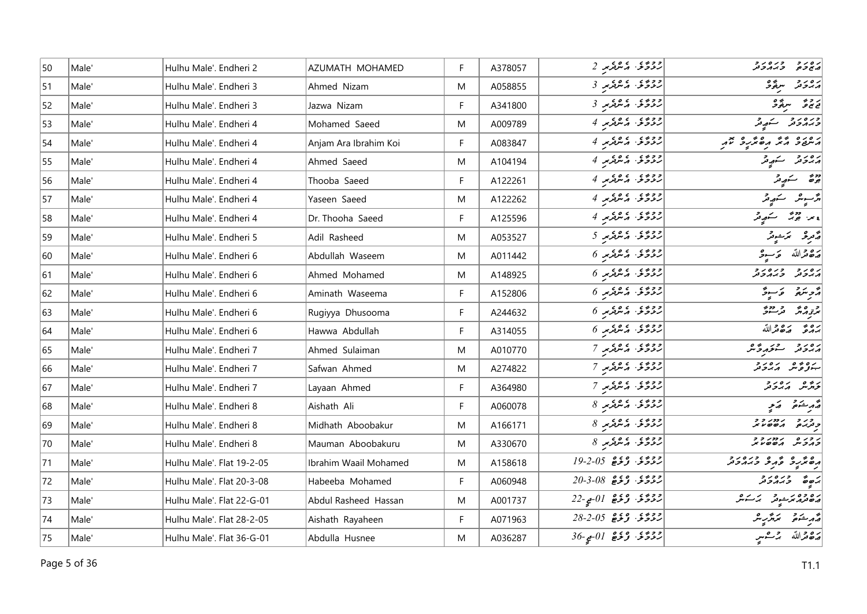| 50 | Male' | Hulhu Male'. Endheri 2    | AZUMATH MOHAMED       | F         | A378057 | رودي پروترمر 2                           | و ره ر و<br>تر <i>پر</i> وتر<br>ر ه ر د<br>ه نح تر م |
|----|-------|---------------------------|-----------------------|-----------|---------|------------------------------------------|------------------------------------------------------|
| 51 | Male' | Hulhu Male'. Endheri 3    | Ahmed Nizam           | M         | A058855 | رووي. <sub>م</sub> وروبر 3               | پر 9 پر 5<br>سرة و                                   |
| 52 | Male' | Hulhu Male'. Endheri 3    | Jazwa Nizam           | F         | A341800 | دووی پروپر د                             | ر و د سره و<br>  د س سره و                           |
| 53 | Male' | Hulhu Male'. Endheri 4    | Mohamed Saeed         | M         | A009789 | وووي وهومر 4                             | ورەرو شەر                                            |
| 54 | Male' | Hulhu Male'. Endheri 4    | Anjam Ara Ibrahim Koi | F         | A083847 | دوۋى مەمەرىر 4                           | ر وره معر مصر و مد                                   |
| 55 | Male' | Hulhu Male'. Endheri 4    | Ahmed Saeed           | M         | A104194 | وووي. <sub>م</sub> ومومبر 4              | أرور والمتمرين                                       |
| 56 | Male' | Hulhu Male'. Endheri 4    | Thooba Saeed          | F         | A122261 | وووي. <sub>م</sub> ومومبر 4              | وده سکه تر                                           |
| 57 | Male' | Hulhu Male'. Endheri 4    | Yaseen Saeed          | ${\sf M}$ | A122262 | ر دوی. میگرمر 4                          | پژسوند سند سند                                       |
| 58 | Male' | Hulhu Male'. Endheri 4    | Dr. Thooha Saeed      | F         | A125596 | رودی می موتر ک                           | پایل افزایش اسکوپاتر                                 |
| 59 | Male' | Hulhu Male'. Endheri 5    | Adil Rasheed          | M         | A053527 | رودۇ ئەھەمبە 5                           | پر تو کو کو کر شونگر                                 |
| 60 | Male' | Hulhu Male'. Endheri 6    | Abdullah Waseem       | M         | A011442 | وووی <sub>م</sub> مبر<br>رنزونی مبرتر بر | أرَة قرالله قرسورٌ                                   |
| 61 | Male' | Hulhu Male'. Endheri 6    | Ahmed Mohamed         | M         | A148925 | $6$ بَرْدَدْ دَ بَرْمَرْمِر $\sim$       | נפנד בנסנד<br>הגבת בגהבת                             |
| 62 | Male' | Hulhu Male'. Endheri 6    | Aminath Waseema       | F         | A152806 | ر دوي. م مرمر بر 6                       | أزويته وأسودته                                       |
| 63 | Male' | Hulhu Male'. Endheri 6    | Rugiyya Dhusooma      | F         | A244632 | ر دوي. م مرمر بر 6                       | أترتو والمراسور                                      |
| 64 | Male' | Hulhu Male'. Endheri 6    | Hawwa Abdullah        | F         | A314055 | وووی. <sub>م</sub> مبر <sub>مبر</sub> 6  | برەء يەھىراللە                                       |
| 65 | Male' | Hulhu Male'. Endheri 7    | Ahmed Sulaiman        | M         | A010770 | رودي. پروپرېد 7                          | رەرد ئەۋرۇش                                          |
| 66 | Male' | Hulhu Male'. Endheri 7    | Safwan Ahmed          | M         | A274822 | رودۇ ئەھمەرىرە 7                         | برە بور برە بەر د                                    |
| 67 | Male' | Hulhu Male'. Endheri 7    | Layaan Ahmed          | F.        | A364980 | رودی یه همدین 7                          | كروه برەر د                                          |
| 68 | Male' | Hulhu Male'. Endheri 8    | Aishath Ali           | F         | A060078 | رودي. پروپرس 8                           | أقهر شنعتى أقدمي                                     |
| 69 | Male' | Hulhu Male'. Endheri 8    | Midhath Aboobakur     | M         | A166171 | ر دوي. د عربر د 8                        | כנה נחניכן                                           |
| 70 | Male' | Hulhu Male'. Endheri 8    | Mauman Aboobakuru     | M         | A330670 | رودي پروپرس 8                            | ג רג המרגר                                           |
| 71 | Male' | Hulhu Male'. Flat 19-2-05 | Ibrahim Waail Mohamed | M         | A158618 | $19 - 2 - 05$ $253 - 552$                | رەپرىدى ئەرى دىرەرد                                  |
| 72 | Male' | Hulhu Male'. Flat 20-3-08 | Habeeba Mohamed       | F         | A060948 | $20 - 3 - 08$ $22 - 3 - 3$               | $5,0,0,5$ $0,7$                                      |
| 73 | Male' | Hulhu Male'. Flat 22-G-01 | Abdul Rasheed Hassan  | M         | A001737 | $22 - 01$ وَوَعْ $01$ -بِي-22            | رە دەپرىشوتر برىكىش                                  |
| 74 | Male' | Hulhu Male'. Flat 28-2-05 | Aishath Rayaheen      | F         | A071963 | $28 - 2 - 05$ وَوَصَعَ 28-2-05           | أقرم شوقو المحتركة للمراجع                           |
| 75 | Male' | Hulhu Male'. Flat 36-G-01 | Abdulla Husnee        | ${\sf M}$ | A036287 | $36 - 91$ حِمْدَةَ حَمْدِيَّةِ $01 - 6$  | مَدْ قَدَاللّه بِرْ سُمْسِرِ                         |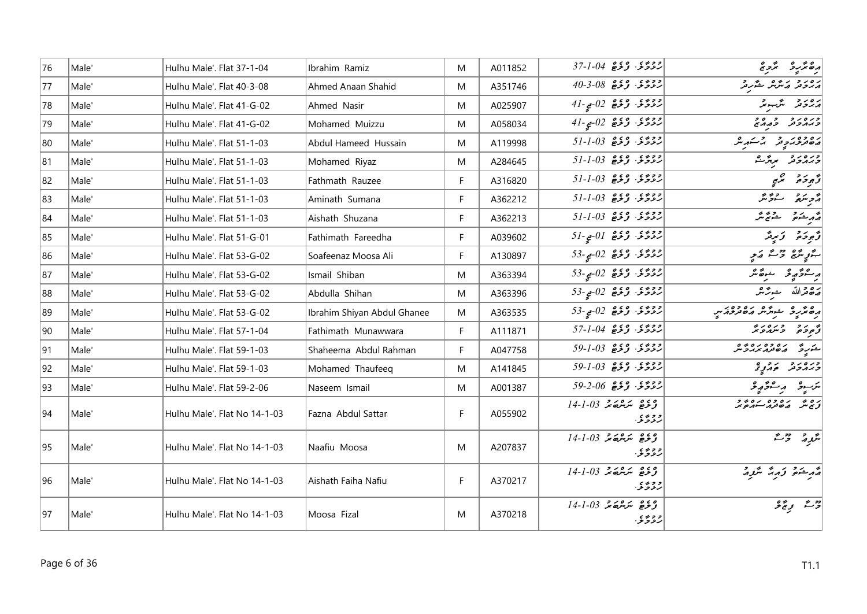| 76 | Male' | Hulhu Male'. Flat 37-1-04    | Ibrahim Ramiz               | M  | A011852 | 37-1-04 $223.2$                                              | رەنزىر ئەرتى                                    |
|----|-------|------------------------------|-----------------------------|----|---------|--------------------------------------------------------------|-------------------------------------------------|
| 77 | Male' | Hulhu Male'. Flat 40-3-08    | Ahmed Anaan Shahid          | M  | A351746 | $40 - 3 - 08$ $22 - 3 - 3$                                   | رەرد رېره شر                                    |
| 78 | Male' | Hulhu Male'. Flat 41-G-02    | Ahmed Nasir                 | M  | A025907 | $41$ - جون وي وي 20- مي $-1$                                 | رەرد شبەر                                       |
| 79 | Male' | Hulhu Male'. Flat 41-G-02    | Mohamed Muizzu              | M  | A058034 | $41$ - دون وي ون $-02$                                       | כנסנב כמה ב                                     |
| 80 | Male' | Hulhu Male'. Flat 51-1-03    | Abdul Hameed Hussain        | M  | A119998 | $51 - 1 - 03$ $22 - 32$                                      | ره وه د د د م کرده                              |
| 81 | Male' | Hulhu Male'. Flat 51-1-03    | Mohamed Riyaz               | M  | A284645 | $51 - 1 - 03$ $22 - 52$                                      | ورەرو بروگ                                      |
| 82 | Male' | Hulhu Male'. Flat 51-1-03    | Fathmath Rauzee             | F  | A316820 | $51 - 1 - 03$ $22 - 32$                                      | قەدىق ترىپى                                     |
| 83 | Male' | Hulhu Male'. Flat 51-1-03    | Aminath Sumana              | F  | A362212 | $51 - 1 - 03$ $22 - 52$                                      | أأرمز المتوشر                                   |
| 84 | Male' | Hulhu Male'. Flat 51-1-03    | Aishath Shuzana             | F  | A362213 | $51 - 1 - 03$ $22 - 32$                                      | ۇرمىسى ئىستى ئىس                                |
| 85 | Male' | Hulhu Male'. Flat 51-G-01    | Fathimath Fareedha          | F  | A039602 | $51 - 01$ $22$ $32$                                          | أوٌجوحَمْ وَمِرِمَّرٌ                           |
| 86 | Male' | Hulhu Male'. Flat 53-G-02    | Soafeenaz Moosa Ali         | F  | A130897 | $53 - 02$ وَقَرَّة $2$                                       | په د په د د په د پر                             |
| 87 | Male' | Hulhu Male'. Flat 53-G-02    | Ismail Shiban               | M  | A363394 | $53 - 02$ وَقَوْمٍ $-02$ مِي                                 | ر عۇر ئوقسى                                     |
| 88 | Male' | Hulhu Male'. Flat 53-G-02    | Abdulla Shihan              | M  | A363396 | $53 - 02$ وَقَرَّة $2$                                       | أرة قرالله خوترمر                               |
| 89 | Male' | Hulhu Male'. Flat 53-G-02    | Ibrahim Shiyan Abdul Ghanee | M  | A363535 | $53 - 02$ وَقَوْعَ $2$ - فِي $-53$                           | رە ئەرە سەئەر رەدەر                             |
| 90 | Male' | Hulhu Male'. Flat 57-1-04    | Fathimath Munawwara         | F. | A111871 | $57 - 1 - 04$ $22 - 32$                                      | أقموح وره دي                                    |
| 91 | Male' | Hulhu Male'. Flat 59-1-03    | Shaheema Abdul Rahman       | F  | A047758 | $59 - 1 - 03$ $22$ $3 - 22$                                  | لەر بەرەرەرە بەر                                |
| 92 | Male' | Hulhu Male'. Flat 59-1-03    | Mohamed Thaufeeq            | M  | A141845 | $59 - 1 - 03$ $22$ $3 - 2$                                   | وره رو دروره<br> وبرمرونر مومرک <sub>و</sub> نژ |
| 93 | Male' | Hulhu Male'. Flat 59-2-06    | Naseem Ismail               | M  | A001387 | $59 - 2 - 06$ $22$ $32$                                      | يرجو به عدة به و                                |
| 94 | Male' | Hulhu Male'. Flat No 14-1-03 | Fazna Abdul Sattar          | F  | A055902 | $14 - 1 - 03$ $222 - 22$<br>و و و ء .<br>رند <del>و</del> نو | ره پر روده ره دو<br>زیر ش                       |
| 95 | Male' | Hulhu Male'. Flat No 14-1-03 | Naafiu Moosa                | M  | A207837 | $14 - 1 - 03$ $222 - 82$<br>و و و ء .<br>رنونوگو             | شروژ ژے                                         |
| 96 | Male' | Hulhu Male'. Flat No 14-1-03 | Aishath Faiha Nafiu         | F  | A370217 | وَوْعِ سَرْسُهُ جَلْ 14-1-14<br>و و و ي.<br>رنونونو .        | ة مشكرة وكربة مترة.<br> -                       |
| 97 | Male' | Hulhu Male'. Flat No 14-1-03 | Moosa Fizal                 | M  | A370218 | <i>14-1-03 مَرْمُعَة 14-1-14</i><br>و و و ء .<br>رندگرمو .   | لرحمش ويجرعه                                    |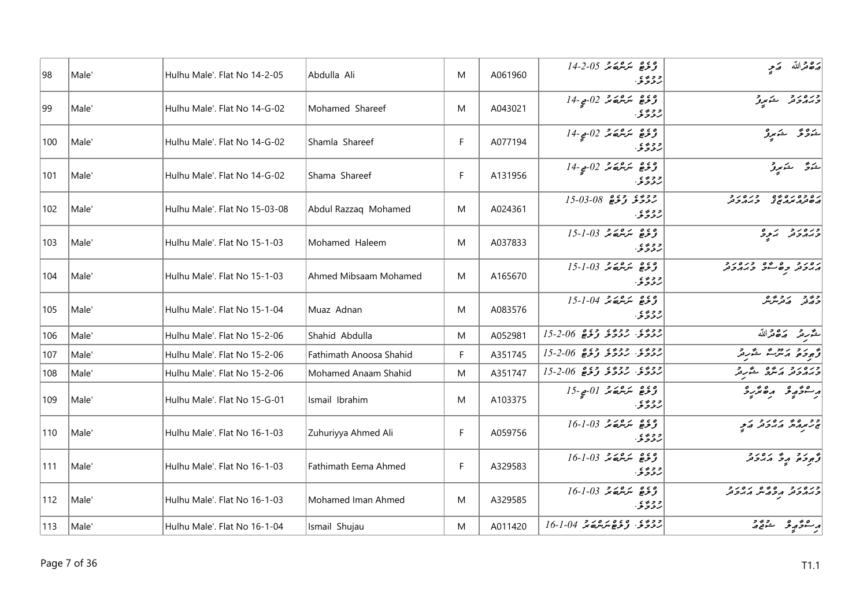| 98            | Male' | Hulhu Male'. Flat No 14-2-05  | Abdulla Ali             | M           | A061960 | $14 - 2 - 05$ $22 - 25$<br>و و و ء .<br>رند <del>و</del> نو     | يرەقراللە كەمچ                                |
|---------------|-------|-------------------------------|-------------------------|-------------|---------|-----------------------------------------------------------------|-----------------------------------------------|
| 99            | Male' | Hulhu Male'. Flat No 14-G-02  | Mohamed Shareef         | M           | A043021 | وءو برم يو 20-ي-14<br>ج و بر ي.<br>رنگوري                       | ورەرو شەرد                                    |
| 100           | Male' | Hulhu Male'. Flat No 14-G-02  | Shamla Shareef          | $\mathsf F$ | A077194 | $14$ و مَرْسَى مَدْسَمَة مِنْ $02 - 2$<br>و و و ي.<br>رنونونو . | شەۋقى شەيرۇ                                   |
| 101           | Male' | Hulhu Male'. Flat No 14-G-02  | Shama Shareef           | F           | A131956 | $14$ - وتوقع مرمرة جر 20- وي<br><u>رووي.</u>                    | شكائح الشكامور                                |
| 102           | Male' | Hulhu Male'. Flat No 15-03-08 | Abdul Razzaq Mohamed    | M           | A024361 | $15 - 03 - 08$ $22$ $32$<br>و و و ء .<br>رند <del>و</del> نو    | נס כס נס שם פנסניב<br>השינו אית איבי ב ג'וריב |
| 103           | Male' | Hulhu Male'. Flat No 15-1-03  | Mohamed Haleem          | M           | A037833 | $15 - 1 - 03$ $222 - 25$<br><u>رووي.</u>                        | ورەرو بەرو                                    |
| 104           | Male' | Hulhu Male'. Flat No 15-1-03  | Ahmed Mibsaam Mohamed   | M           | A165670 | $15 - 1 - 03$ $222 - 25$<br><u>رووي.</u>                        |                                               |
| 105           | Male' | Hulhu Male'. Flat No 15-1-04  | Muaz Adnan              | M           | A083576 | ووق <del>مريده م</del> ر 15-1-15<br><u>رووي.</u>                | د د د د د و د مرکز                            |
| 106           | Male' | Hulhu Male'. Flat No 15-2-06  | Shahid Abdulla          | M           | A052981 | $15 - 2 - 06$ $22$ $32$ $32$ $32$                               | شَمَرِيْر سَ§مِّرالله                         |
| 107           | Male' | Hulhu Male'. Flat No 15-2-06  | Fathimath Anoosa Shahid | F.          | A351745 | $15 - 2 - 06$ $22$ $32$ $32$ $32$                               | توجده مترث شرد                                |
| 108           | Male' | Hulhu Male'. Flat No 15-2-06  | Mohamed Anaam Shahid    | M           | A351747 | $15 - 2 - 06$ $223$ $333$ $333$                                 | ورەر د روە بەر                                |
| 109           | Male' | Hulhu Male'. Flat No 15-G-01  | Ismail Ibrahim          | M           | A103375 | وْ دْ ھُمْ سَرْ مُ ھَمْ 15 - 15<br>و و و ء .<br>رو و و .        | ر عۇرپۇ رەترىرۇ                               |
| $ 110\rangle$ | Male' | Hulhu Male'. Flat No 16-1-03  | Zuhuriyya Ahmed Ali     | F           | A059756 | $16 - 1 - 03$ $222 - 25$<br>و و و ء .<br>رند <del>و</del> نو    | בכ פי גפני הביק                               |
| 111           | Male' | Hulhu Male'. Flat No 16-1-03  | Fathimath Eema Ahmed    | F.          | A329583 | $16 - 1 - 03$ $222 - 22$<br>ج و بر ي.<br>رنگوري                 | توجوجو برق برەر د                             |
| 112           | Male' | Hulhu Male'. Flat No 16-1-03  | Mohamed Iman Ahmed      | M           | A329585 | $16 - 1 - 03$ $222 - 82$<br><u>رووي.</u>                        | כנסגב סשם גסגב                                |
| 113           | Male' | Hulhu Male'. Flat No 16-1-04  | Ismail Shujau           | M           | A011420 | 16-1-04 ر <i>وء ۾ سرمھ پڻ</i> 16-1-16                           | أبر ستروش والمحمد المحمد المحمد المستندم      |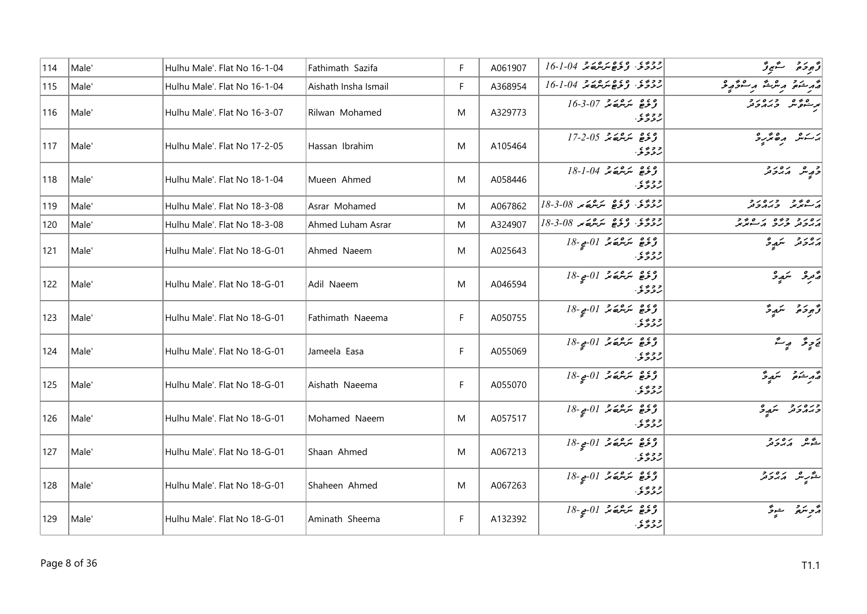| 114 | Male' | Hulhu Male'. Flat No 16-1-04 | Fathimath Sazifa     | F  | A061907 | 16-1-04 ر <i>وۋھ مرمومۇ 1</i> 0-1-16                                                     | قُهْ وَحَقَّ سُمَّعِ وَّ                  |
|-----|-------|------------------------------|----------------------|----|---------|------------------------------------------------------------------------------------------|-------------------------------------------|
| 115 | Male' | Hulhu Male'. Flat No 16-1-04 | Aishath Insha Ismail | F. | A368954 | 16-1-04 كوخر مركز 16-1-04                                                                |                                           |
| 116 | Male' | Hulhu Male'. Flat No 16-3-07 | Rilwan Mohamed       | M  | A329773 | $16 - 3 - 07$ $222 - 82$<br>و و و ي.<br>رند و تو .                                       | برده وره در                               |
| 117 | Male' | Hulhu Male'. Flat No 17-2-05 | Hassan Ibrahim       | M  | A105464 | $17 - 2 - 05$ $222 - 25$<br>و و و ء .<br>رو <del>ؤ</del> تو .                            | برسكش مرەمجرىرى                           |
| 118 | Male' | Hulhu Male'. Flat No 18-1-04 | Mueen Ahmed          | M  | A058446 | <b>18-1-04</b> مَرْمُهُمْ 18-1-81<br>ر و و و .<br>رند <del>و</del> و .                   | 3 مربر مدر در د                           |
| 119 | Male' | Hulhu Male'. Flat No 18-3-08 | Asrar Mohamed        | M  | A067862 | 332 - روم من المستمر 18-3-08                                                             | د عمر دره در                              |
| 120 | Male' | Hulhu Male'. Flat No 18-3-08 | Ahmed Luham Asrar    | M  | A324907 | 332 - روم من مشتركة من 18-3-81                                                           | גם גד כנים גם ניבר.<br>המכת כניב ה-ייניוג |
| 121 | Male' | Hulhu Male'. Flat No 18-G-01 | Ahmed Naeem          | M  | A025643 | $18$ - وَكَرْمِ مَنْ سَرْحَةَ جَدَا $01$<br>و و و ء .<br>رو <del>ؤ</del> تو .            | د د د سمده                                |
| 122 | Male' | Hulhu Male'. Flat No 18-G-01 | Adil Naeem           | M  | A046594 | $18 - 01$ $222 - 01$<br>و و و ي.<br>رنونونو .                                            | أرامر منتصر والمحمد                       |
| 123 | Male' | Hulhu Male'. Flat No 18-G-01 | Fathimath Naeema     | F  | A050755 | $18$ - وَحْرَمِ مَرْسَمَة $01 - 1$ - وِ<br>و و و ي.<br>رنونوگو                           | أزودة شهرة                                |
| 124 | Male' | Hulhu Male'. Flat No 18-G-01 | Jameela Easa         | F  | A055069 | $18 - 01$ $\frac{2}{3}$ $\frac{2}{3}$ $\frac{2}{3}$ $\frac{2}{3}$<br>و و و ي.<br>رنونوگو | يَ جِرْ مَ مِي حَدَّ                      |
| 125 | Male' | Hulhu Male'. Flat No 18-G-01 | Aishath Naeema       | F  | A055070 | $18 - 01$ $\frac{2}{3}$ $\frac{6}{3}$ $\frac{6}{3}$ $\frac{6}{3}$<br>و و و ي.<br>رنونوگو | أقمر شكوته المتمرقة                       |
| 126 | Male' | Hulhu Male'. Flat No 18-G-01 | Mohamed Naeem        | M  | A057517 | $18 - 01$ $22 - 01$ $259$<br>و و و ي.<br>رند و تو .                                      | ورەرو شھرى                                |
| 127 | Male' | Hulhu Male'. Flat No 18-G-01 | Shaan Ahmed          | M  | A067213 | $18$ - وَحْرَمِ مَرْسَمَة $10$ - مِي<br>و و و ء .<br>رند <del>و</del> نو                 | شەھر كەردىر                               |
| 128 | Male' | Hulhu Male'. Flat No 18-G-01 | Shaheen Ahmed        | M  | A067263 | $18$ - وَحْرَمِ سَرَسْهَ مَنْ $01$ - مِي<br>و و و ء .<br>رو <del>و</del> تو .            | شَرِيس 1975 م                             |
| 129 | Male' | Hulhu Male'. Flat No 18-G-01 | Aminath Sheema       | F. | A132392 | $18$ - وَحْرَمِ مَرْسَمَةٌ $01$ - مِي<br>و و و ء .<br>رند و تو .                         | أأترجع شوقر                               |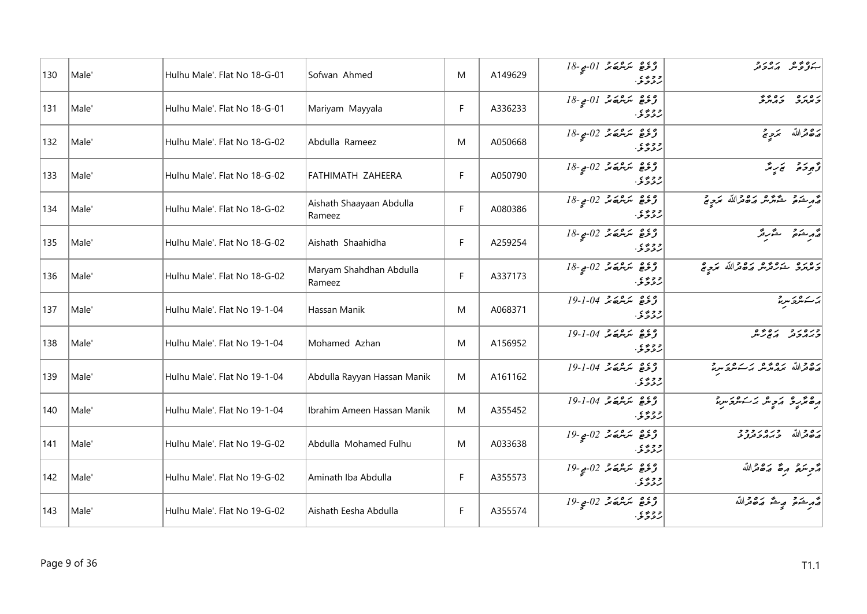| 130 | Male' | Hulhu Male'. Flat No 18-G-01 | Sofwan Ahmed                       | M           | A149629 | $18$ وَوْعِ سَرْسُوَةَ جَلْ<br>و و و ء .<br>رند <del>و</del> نو                                        | رەپ رەرد<br>جۇۋىر مەردىر              |
|-----|-------|------------------------------|------------------------------------|-------------|---------|--------------------------------------------------------------------------------------------------------|---------------------------------------|
| 131 | Male' | Hulhu Male'. Flat No 18-G-01 | Mariyam Mayyala                    | F.          | A336233 | $18 - 01$ $\frac{2}{3}$ $\frac{6}{3}$ $\frac{6}{3}$ $\frac{6}{3}$ $\frac{6}{3}$<br>ج و بر ي.<br>رنگوري | נסנס נסממ<br>כמתכ בגתב                |
| 132 | Male' | Hulhu Male'. Flat No 18-G-02 | Abdulla Rameez                     | M           | A050668 | $18 - 02$ $22 - 02$<br><u>رووي.</u>                                                                    | أرجع فكرالله تمرجي مح                 |
| 133 | Male' | Hulhu Male'. Flat No 18-G-02 | FATHIMATH ZAHEERA                  | F           | A050790 | $18 - 02$ $-22$ $-22$<br><u>رووي.</u>                                                                  | و محمد المحمد المحمد المحمد           |
| 134 | Male' | Hulhu Male'. Flat No 18-G-02 | Aishath Shaayaan Abdulla<br>Rameez | F.          | A080386 | $18 - 02$ $22 - 02$ $32 - 02$<br>و و و ء .<br>رو <del>ؤ</del> تو .                                     | مەر ئەم ئۇرگىرى مەھمەللە مەج          |
| 135 | Male' | Hulhu Male'. Flat No 18-G-02 | Aishath Shaahidha                  | F.          | A259254 | $18 - 02$ $-22$ $-22$<br>ج و بر ي.<br>رنگوري                                                           | ە ئەرىشكە ھەرىگە                      |
| 136 | Male' | Hulhu Male'. Flat No 18-G-02 | Maryam Shahdhan Abdulla<br>Rameez  | $\mathsf F$ | A337173 | $18$ - وَكَرْمِ مَرْسُرْهَ بَرْ $02$ - مِ<br>و و و ء .<br>رند <del>و</del> نو                          | ره ره بره ده ره دان تروم              |
| 137 | Male' | Hulhu Male'. Flat No 19-1-04 | Hassan Manik                       | M           | A068371 | <b>19-1-04</b> مَرْمُهُمْ 19-1-19<br>3 د بري.<br>رنو تر تو .                                           | ئەسەھەمەرىر                           |
| 138 | Male' | Hulhu Male'. Flat No 19-1-04 | Mohamed Azhan                      | M           | A156952 | ووق سَرْسْهُ سَنَ 19-1-94<br>و و و ء .<br>رند <del>و</del> و .                                         | ورەرو رەپەر                           |
| 139 | Male' | Hulhu Male'. Flat No 19-1-04 | Abdulla Rayyan Hassan Manik        | M           | A161162 | ووق سَرْسَهَ 19-1-04<br><u>رووي.</u>                                                                   | رە داللە ئەرەر ئەسەردىر               |
| 140 | Male' | Hulhu Male'. Flat No 19-1-04 | Ibrahim Ameen Hassan Manik         | M           | A355452 | ووم <i>مربره بر 19-1-04</i><br><u>رووي.</u>                                                            | معتر و موسى سوروسر                    |
| 141 | Male' | Hulhu Male'. Flat No 19-G-02 | Abdulla Mohamed Fulhu              | M           | A033638 | $19 - 02$ مَرْسَمَة مَرْ $19 - 02$<br>و و و ء .<br>رند <del>و</del> و .                                | ره والله وره رووو                     |
| 142 | Male' | Hulhu Male'. Flat No 19-G-02 | Aminath Iba Abdulla                | F           | A355573 | ووق سَرْسَهُ جَلْ -20 - مِي-19<br>ج و بر ي.<br>رنگوري                                                  | أترج تترة أركاه وكالحدالله            |
| 143 | Male' | Hulhu Male'. Flat No 19-G-02 | Aishath Eesha Abdulla              | F           | A355574 | ووق سَرْسَهُ جَلْ -20 - مِي-19<br>و و و ء .<br>رند <del>و</del> نو                                     | صَّمَرِ شَمَعَ صَهْدِ صَفَّرَ اللَّهُ |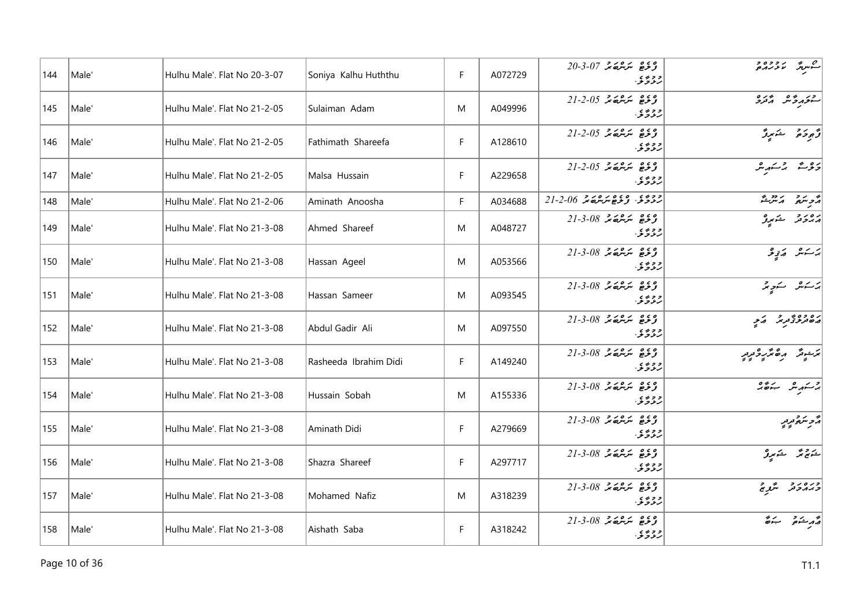| 144 | Male' | Hulhu Male'. Flat No 20-3-07 | Soniya Kalhu Huththu  | F           | A072729 | $20 - 3 - 07$ $222 - 82$<br>ر و و ء .<br>رند <del>و</del> و .    | مسرد المتحدد و               |
|-----|-------|------------------------------|-----------------------|-------------|---------|------------------------------------------------------------------|------------------------------|
| 145 | Male' | Hulhu Male'. Flat No 21-2-05 | Sulaiman Adam         | M           | A049996 | $21 - 2 - 05$ $222 - 25$<br>و و و ء .<br>رند <del>و</del> نو     | ستؤرثر أوره                  |
| 146 | Male' | Hulhu Male'. Flat No 21-2-05 | Fathimath Shareefa    | F.          | A128610 | $21 - 2 - 05$ $222 - 205$<br>ر و و ء .<br>رندگرمو                | ژودۇ شېرژ                    |
| 147 | Male' | Hulhu Male'. Flat No 21-2-05 | Malsa Hussain         | $\mathsf F$ | A229658 | $21 - 2 - 05$ $22 - 2 - 15$<br>و و و ي.<br>رنونوگو               | دوع برحده                    |
| 148 | Male' | Hulhu Male'. Flat No 21-2-06 | Aminath Anoosha       | $\mathsf F$ | A034688 | 21-2-06 كوم محمد 21-2-12                                         |                              |
| 149 | Male' | Hulhu Male'. Flat No 21-3-08 | Ahmed Shareef         | M           | A048727 | <i>21-3-08</i> مَرْسُرَة حَدَّ 21-3-08<br>ج و بر ي.<br>رنگوري    | برەر دىكىمبۇ                 |
| 150 | Male' | Hulhu Male'. Flat No 21-3-08 | Hassan Ageel          | M           | A053566 | <b>21-3-08</b> مَرْسَ 21-3-08<br>ج و بر ي.<br>رنگوري             | پرستمبر    چې تو             |
| 151 | Male' | Hulhu Male'. Flat No 21-3-08 | Hassan Sameer         | M           | A093545 | 21-3-08 <b>كرش 21-3-08</b><br>و و و ء .<br>رندگرنگ               | ىرىكىش سكولتى                |
| 152 | Male' | Hulhu Male'. Flat No 21-3-08 | Abdul Gadir Ali       | M           | A097550 | ووم <i>مربوم كى 1</i> 9-3-21<br>و و و ء .<br>رند <del>و</del> نو | ره وه ورځ د کام              |
| 153 | Male' | Hulhu Male'. Flat No 21-3-08 | Rasheeda Ibrahim Didi | $\mathsf F$ | A149240 | ووه شهد 08-3-21<br>و و و ي.<br>رند <del>و</del> نو               | ىرَىشوند رەھرىر دەرىر        |
| 154 | Male' | Hulhu Male'. Flat No 21-3-08 | Hussain Sobah         | M           | A155336 | ووق <i>مربوه پر 18-3-21</i><br>و و و ء .<br>رند <del>و</del> نو  | بر شهر شهر به محمد           |
| 155 | Male' | Hulhu Male'. Flat No 21-3-08 | Aminath Didi          | F           | A279669 | ووم <i>مربوم كى 1</i> 9-3-21<br>و و و ء .<br>رندگرنگ             | پژو سرچ <sub>و تور تور</sub> |
| 156 | Male' | Hulhu Male'. Flat No 21-3-08 | Shazra Shareef        | $\mathsf F$ | A297717 | ووم <i>مربوم كى 1</i> 9-3-21<br><u>رووي.</u>                     | شەرق شەرق                    |
| 157 | Male' | Hulhu Male'. Flat No 21-3-08 | Mohamed Nafiz         | M           | A318239 | ووم <i>مربوم كى 1</i> 9-3-21<br>و و و ء .<br>رندگرنگ             | ورەر د شرح                   |
| 158 | Male' | Hulhu Male'. Flat No 21-3-08 | Aishath Saba          | F           | A318242 | ووق <del>مركزة كم 21</del> -3-08<br>و و و ء .<br>رند و تو .      | وأرشك بكائه                  |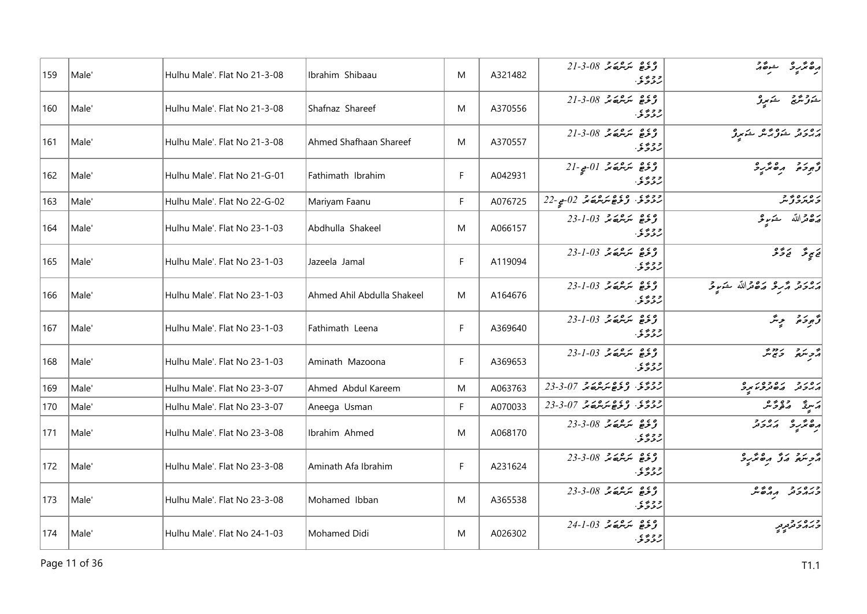| 159 | Male' | Hulhu Male'. Flat No 21-3-08 | Ibrahim Shibaau            | M           | A321482 | $21 - 3 - 08$ $22 - 3 - 8$<br>و و و ي.<br>رند <del>و</del> گو                                       | $\frac{22}{10}$                                                                                                                        |
|-----|-------|------------------------------|----------------------------|-------------|---------|-----------------------------------------------------------------------------------------------------|----------------------------------------------------------------------------------------------------------------------------------------|
| 160 | Male' | Hulhu Male'. Flat No 21-3-08 | Shafnaz Shareef            | M           | A370556 | ووم <i>مربوم كى 1-3-21</i><br>و و و ء .<br>رند <del>و</del> نو                                      | شۇر ئىگى شۇيرۇ                                                                                                                         |
| 161 | Male' | Hulhu Male'. Flat No 21-3-08 | Ahmed Shafhaan Shareef     | M           | A370557 | ووم <i>مربوم كى 1</i> 9-3-21<br>و و و ي.<br>رنونوگو                                                 | رەر دېرو دەر خىرو                                                                                                                      |
| 162 | Male' | Hulhu Male'. Flat No 21-G-01 | Fathimath Ibrahim          | F.          | A042931 | وءه برقيعة من ال-مي-21<br>ر و و د ي.<br>رنگوري                                                      | ژوده مقترد                                                                                                                             |
| 163 | Male' | Hulhu Male'. Flat No 22-G-02 | Mariyam Faanu              | $\mathsf F$ | A076725 | وووي وووم مره عز 02-يې-22                                                                           | ر ه ر ه و و<br><del>د</del> بر بر و ک                                                                                                  |
| 164 | Male' | Hulhu Male'. Flat No 23-1-03 | Abdhulla Shakeel           | M           | A066157 | $23 - 1 - 03$ $222 - 22$<br>ر و و د ي.<br>رنگوري                                                    | رەقراللە خىرىمى                                                                                                                        |
| 165 | Male' | Hulhu Male'. Flat No 23-1-03 | Jazeela Jamal              | $\mathsf F$ | A119094 | ووه شهده 1-03-23<br>ر و و و .<br>رند <del>و</del> ک                                                 | لَّے <sub>ک</sub> م کا کا کا کا کا کا کا کا ک                                                                                          |
| 166 | Male' | Hulhu Male'. Flat No 23-1-03 | Ahmed Ahil Abdulla Shakeel | M           | A164676 | $\overline{23}$ -1-03 $\overline{\phantom{a}25}$ $\overline{\phantom{a}25}$<br>ر و و د ي.<br>رنگوري | رەرد بەر مەھەراللە خىرىد                                                                                                               |
| 167 | Male' | Hulhu Male'. Flat No 23-1-03 | Fathimath Leena            | F           | A369640 | $23 - 1 - 03$ $222 - 22$<br>ر و و د ي.<br>رنگوري                                                    | توجوخوا مجينر                                                                                                                          |
| 168 | Male' | Hulhu Male'. Flat No 23-1-03 | Aminath Mazoona            | $\mathsf F$ | A369653 | $23 - 1 - 03$ $222 - 22$<br>و و د ي.<br>رنوتونو .                                                   | أأدوسكم وأحيض                                                                                                                          |
| 169 | Male' | Hulhu Male'. Flat No 23-3-07 | Ahmed Abdul Kareem         | M           | A063763 | 23-3-07 و <i>23 مربرھ پر 23-3-07</i>                                                                | נפני נפיניקים ביריקים ביריקים ביריקים ביריקים ביריקים ביריקים ביריקים ביריקים ביריקים ביריקים ביריקים ביריקים<br>ממכנת מסינקים ביריקים |
| 170 | Male' | Hulhu Male'. Flat No 23-3-07 | Aneega Usman               | F.          | A070033 | 33-3-07 روم مري <i>م ھاج</i> 23-3-42                                                                | ر <sub>َ سر</sub> ِیَّ مِیْ وَقَامِر                                                                                                   |
| 171 | Male' | Hulhu Male'. Flat No 23-3-08 | Ibrahim Ahmed              | M           | A068170 | <i>23-3-08</i> سَرْسَهُ سَرِ 23-3-42<br>333ع.<br>رنم <b>و</b> څو                                    | ת היי היי בי                                                                                                                           |
| 172 | Male' | Hulhu Male'. Flat No 23-3-08 | Aminath Afa Ibrahim        | F           | A231624 | 23-3-08 <b>مرش 23-3-82</b><br>و و د ي.<br>رنوتونو .                                                 | הכית ג'ל תסתיב                                                                                                                         |
| 173 | Male' | Hulhu Male'. Flat No 23-3-08 | Mohamed Ibban              | M           | A365538 | <i>23-3-08</i> سَرْسَهُ سَرِ 23-3-42<br>ر و و و .<br>رنگوری                                         | כנסנכ פשם                                                                                                                              |
| 174 | Male' | Hulhu Male'. Flat No 24-1-03 | Mohamed Didi               | M           | A026302 | $24 - 1 - 03$ $24 - 2$<br>333ع.<br>رنم <b>و</b> څو                                                  | و ر ه ر و<br>د پر پر و ترتوپو                                                                                                          |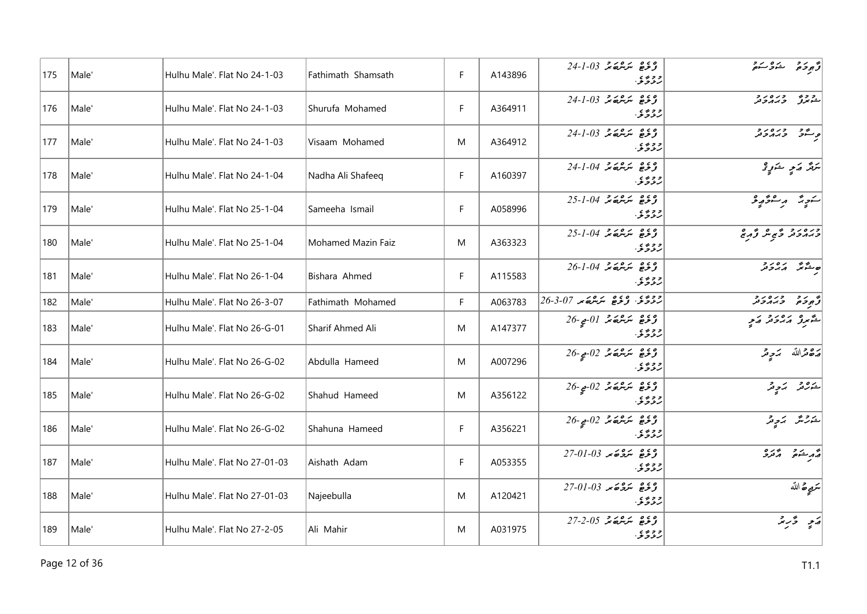| 175 | Male' | Hulhu Male'. Flat No 24-1-03  | Fathimath Shamsath | F           | A143896 | <i>24-1-03 مَرْمُعَة حَدَّ</i><br>و و و ء .<br>رنو بو تو .            | تۇم جەم سىكەن يەم               |
|-----|-------|-------------------------------|--------------------|-------------|---------|-----------------------------------------------------------------------|---------------------------------|
| 176 | Male' | Hulhu Male'. Flat No 24-1-03  | Shurufa Mohamed    | F.          | A364911 | ووم <i>مربوم د</i> 1-03-24<br>و و و ء .<br>رنونونو .                  | و وه د وره رو<br>شهرق وبرابرونو |
| 177 | Male' | Hulhu Male'. Flat No 24-1-03  | Visaam Mohamed     | M           | A364912 | ووه شهده 1-03-24<br>و و و ء .<br>رنونونو .                            | ه دره دره د                     |
| 178 | Male' | Hulhu Male'. Flat No 24-1-04  | Nadha Ali Shafeeq  | $\mathsf F$ | A160397 | ووق سَرْسَهَ 1-04-24<br>ر و و د ي.<br>رند <del>و</del> نو             | لترتكز أيكمح والمكوري           |
| 179 | Male' | Hulhu Male'. Flat No 25-1-04  | Sameeha Ismail     | F           | A058996 | ووق سَ <i>مِسْهَ حَدَ</i> 1-04-25<br>و و و ء .<br>رنونونو .           | سكوبة المستوكلوفر               |
| 180 | Male' | Hulhu Male'. Flat No 25-1-04  | Mohamed Mazin Faiz | M           | A363323 | ووق س <i>تر شهر 1-04-25</i><br>333ع.<br>رنم <b>و</b> څو               | ورورو ومحير ومرج                |
| 181 | Male' | Hulhu Male'. Flat No 26-1-04  | Bishara Ahmed      | F.          | A115583 | $26 - 1 - 04$ $222 - 22$<br>ر و و ء .<br>رند <del>و</del> تو .        | ەش <sup>ەپ</sup> بەردە          |
| 182 | Male' | Hulhu Male'. Flat No 26-3-07  | Fathimath Mohamed  | F.          | A063783 | 26-3-07 مركزة سكر 26-3-07                                             | و دو دره دره                    |
| 183 | Male' | Hulhu Male'. Flat No 26-G-01  | Sharif Ahmed Ali   | M           | A147377 | $26$ ونوفي مكر السي -26 وي<br>ر و و د ي.<br>رند <del>و</del> نو       | كشمرو برورد كمي                 |
| 184 | Male' | Hulhu Male'. Flat No 26-G-02  | Abdulla Hameed     | M           | A007296 | $26$ - وَوْهِ سَرْسُهُ بَرْ $-02$ - وِ $-2$<br>و و و ي.<br>رندگرنگ    | رە داللە بەيەتر                 |
| 185 | Male' | Hulhu Male'. Flat No 26-G-02  | Shahud Hameed      | M           | A356122 | و ۽ مس <i>تحديد 12-ي</i> -26<br>ر و و د ي.<br>رند <del>و</del> نو     | شەرقە كەچەر                     |
| 186 | Male' | Hulhu Male'. Flat No 26-G-02  | Shahuna Hameed     | F.          | A356221 | $26$ - وَوْعِ سَرَسْهَ مَرْ $-02$ - وِ $-2$<br>و و و ء .<br>رنونونو . | شرورش بركوم                     |
| 187 | Male' | Hulhu Male'. Flat No 27-01-03 | Aishath Adam       | $\mathsf F$ | A053355 | $27 - 01 - 03$ $22 - 0$<br>و و و ي.<br>رنونوگو                        | وكرم شكوم وكروح                 |
| 188 | Male' | Hulhu Male'. Flat No 27-01-03 | Najeebulla         | M           | A120421 | $27 - 01 - 03$ $22 - 03$<br>و و و ي.<br>رنونوگو                       | ىترىپ <sub>و</sub> قى الله      |
| 189 | Male' | Hulhu Male'. Flat No 27-2-05  | Ali Mahir          | M           | A031975 | $27 - 2 - 05$ $22 - 2 - 05$<br>و و و ء .<br>رند <del>و</del> نو       | أەيي ۋرىز                       |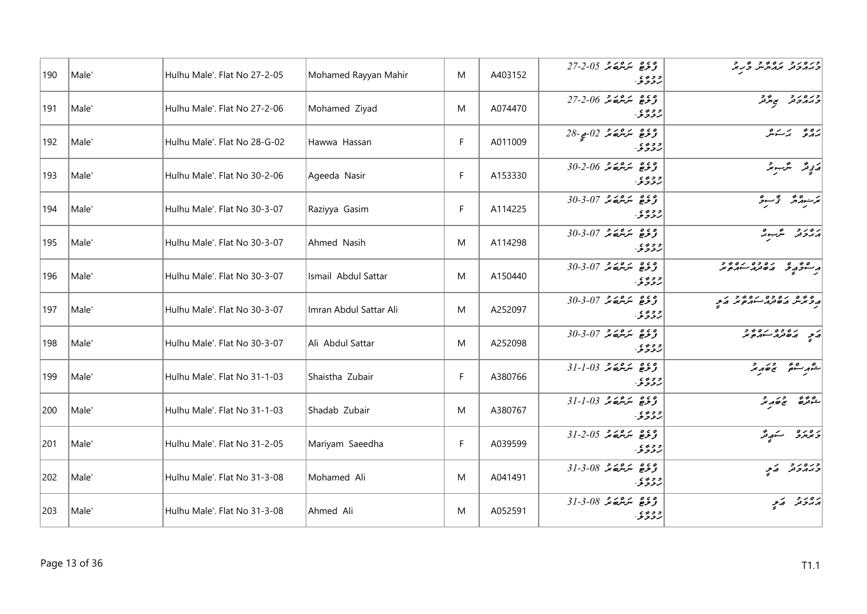| 190 | Male'     | Hulhu Male'. Flat No 27-2-05 | Mohamed Rayyan Mahir   | ${\sf M}$ | A403152 | $27 - 2 - 05$ $22 - 2 - 15$<br>و و و ي.<br>رنونوگو                  | כנסגב גם כב כ"ב<br>בגמבת הממית כנה             |
|-----|-----------|------------------------------|------------------------|-----------|---------|---------------------------------------------------------------------|------------------------------------------------|
| 191 | Male'     | Hulhu Male'. Flat No 27-2-06 | Mohamed Ziyad          | M         | A074470 | $27 - 2 - 06$ $22 - 2$<br><u>رووي.</u>                              | כנסנכ<br>כממכת ה <sub>מ</sub> מת               |
| 192 | Male'     | Hulhu Male'. Flat No 28-G-02 | Hawwa Hassan           | F.        | A011009 | $28 - 02$ مَرْسَعَة مَدْ $02 - 02$<br>و و د ي.<br>رنونونو .         | رەپە بەسەر                                     |
| 193 | Male'     | Hulhu Male'. Flat No 30-2-06 | Ageeda Nasir           | F         | A153330 | $30 - 2 - 06$ $322 - 26$<br>و و و ي.<br>رنونوگو                     | أرة توقد التذكيب وحمر                          |
| 194 | Male'     | Hulhu Male'. Flat No 30-3-07 | Raziyya Gasim          | F         | A114225 | $30 - 3 - 07$ $222 - 32$<br>333ع.<br>رنم <b>و</b> څو                | ىرىنومەگە ئۇسوم                                |
| 195 | Male'     | Hulhu Male'. Flat No 30-3-07 | Ahmed Nasih            | M         | A114298 | <i>30-3-07</i> مري <i>زه تر</i> 30-3-07<br>333ع.<br>رنم <b>و</b> څو | رەرد شەر                                       |
| 196 | $ $ Male' | Hulhu Male'. Flat No 30-3-07 | Ismail Abdul Sattar    | M         | A150440 | $30 - 3 - 07$ $222 - 82$<br>و و و ء .<br>رند <del>و</del> نو        |                                                |
| 197 | Male'     | Hulhu Male'. Flat No 30-3-07 | Imran Abdul Sattar Ali | M         | A252097 | $30 - 3 - 07$ $222 - 82$<br>ر و و ء .<br>رند <del>و</del> نو        | ם גם גם כם גם גם גב<br>הביניית השינה ייחוד ביק |
| 198 | Male'     | Hulhu Male'. Flat No 30-3-07 | Ali Abdul Sattar       | M         | A252098 | $30 - 3 - 07$ $222 - 82$<br>333ع.<br>رنم <b>و</b> څو                | - 1010707 7                                    |
| 199 | $ $ Male' | Hulhu Male'. Flat No 31-1-03 | Shaistha Zubair        | F         | A380766 | ووم شراكة 31-1-13<br>و و و ي.<br>رندگرنو .                          | أشور مقتصر وتحاويته                            |
| 200 | Male'     | Hulhu Male'. Flat No 31-1-03 | Shadab Zubair          | M         | A380767 | ووق <del>م</del> رمود 31-1-13<br>333ع.<br>رنم <b>و</b> څو           | شۇرە جەمجە                                     |
| 201 | Male'     | Hulhu Male'. Flat No 31-2-05 | Mariyam Saeedha        | F.        | A039599 | $31 - 2 - 05$ $222 - 25$<br>ر و و و .<br>رنگوری                     | رەرە سەرتە                                     |
| 202 | $ $ Male' | Hulhu Male'. Flat No 31-3-08 | Mohamed Ali            | M         | A041491 | <i>31-3-08</i> مَرْسُ 16-3-31<br>ر و و و .<br>رنگوری                | ورەرو كەير                                     |
| 203 | $ $ Male' | Hulhu Male'. Flat No 31-3-08 | Ahmed Ali              | M         | A052591 | ووق <del>مركزة كا</del> 8-31-3<br>و و و ء .<br>رند <del>و</del> نو  | پروژو کړې                                      |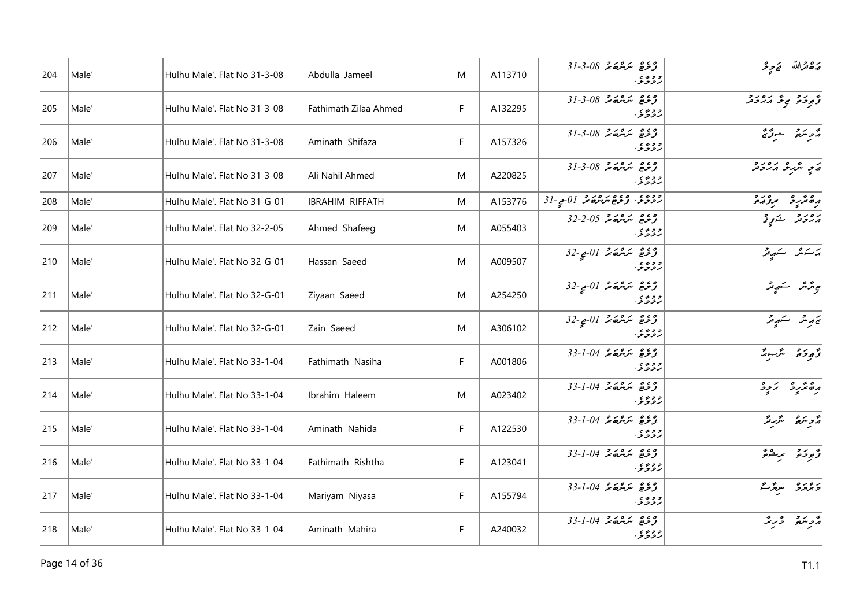| 204 | Male' | Hulhu Male'. Flat No 31-3-08 | Abdulla Jameel         | M           | A113710 | <i>31-3-08 كېچىنى</i> 31-3-18<br>و و و ي.<br>رند <del>و</del> گو                           | 25مرالله ق حي      |
|-----|-------|------------------------------|------------------------|-------------|---------|--------------------------------------------------------------------------------------------|--------------------|
| 205 | Male' | Hulhu Male'. Flat No 31-3-08 | Fathimath Zilaa Ahmed  | F           | A132295 | ووم <i>مربوم كى 31-3-18</i><br>ر و و و .<br>رنگوری                                         | ژُودَهُ بِی دُرُدد |
| 206 | Male' | Hulhu Male'. Flat No 31-3-08 | Aminath Shifaza        | $\mathsf F$ | A157326 | ووم شهد 31-3-08<br>و و و ء .<br>رند <del>و</del> نو                                        | أزويتهم سوزنج      |
| 207 | Male' | Hulhu Male'. Flat No 31-3-08 | Ali Nahil Ahmed        | M           | A220825 | ووق <del>مركزة كا</del> 8-31-3<br>و و و ء .<br>رنو <del>و</del> و                          | ړې شریرو ډه ده.    |
| 208 | Male' | Hulhu Male'. Flat No 31-G-01 | <b>IBRAHIM RIFFATH</b> | M           | A153776 | وووي وءومرمرمز 10-ي-31                                                                     |                    |
| 209 | Male' | Hulhu Male'. Flat No 32-2-05 | Ahmed Shafeeg          | M           | A055403 | $32 - 2 - 05$ $22 - 2 - 05$<br>و و د ي.<br>رنوتونو .                                       |                    |
| 210 | Male' | Hulhu Male'. Flat No 32-G-01 | Hassan Saeed           | M           | A009507 | ووق سَرْسَهُ جَ 10-مِ-32<br>و و و ي.<br>رنونونو .                                          | يزكتان التنهيض     |
| 211 | Male' | Hulhu Male'. Flat No 32-G-01 | Ziyaan Saeed           | M           | A254250 | $32 - 01$ $\frac{2}{3}$ $\frac{2}{3}$ $\frac{2}{3}$ $\frac{2}{3}$<br>و و و ي.<br>رندگرنو . | ىرەگە سەربەر       |
| 212 | Male' | Hulhu Male'. Flat No 32-G-01 | Zain Saeed             | M           | A306102 | $32 - 01$ مَرْسَمَة مَنْ $10 - 4$<br>ر و و د ي.<br>رنگوري                                  | ىم بىر ئىر ئىر     |
| 213 | Male' | Hulhu Male'. Flat No 33-1-04 | Fathimath Nasiha       | $\mathsf F$ | A001806 | <i>33-1-04 مرشحة 1-1-33</i><br>و و و ي.<br>رندگرنو .                                       | ۇۋۇۋە ئىر          |
| 214 | Male' | Hulhu Male'. Flat No 33-1-04 | Ibrahim Haleem         | M           | A023402 | <i>33-1-04 مرشحة 1-1-33</i><br>و و و ي.<br>رنونونو .                                       | رەپرىر بەرە        |
| 215 | Male' | Hulhu Male'. Flat No 33-1-04 | Aminath Nahida         | F           | A122530 | ووق س <i>تر شهر 1-04-33</i><br>ر و و و .<br>رند <del>و</del> ک                             | أأتر سكرة التقرير  |
| 216 | Male' | Hulhu Male'. Flat No 33-1-04 | Fathimath Rishtha      | F.          | A123041 | <i>33-1-04 كرموه شرك 1-1-33</i><br>و و و ء .<br>روونو .                                    | توجدة برشق         |
| 217 | Male' | Hulhu Male'. Flat No 33-1-04 | Mariyam Niyasa         | $\mathsf F$ | A155794 | <i>33-1-04 كرم 1-1-33</i><br>ر و و د .<br>رندگرنگ                                          | دەرە سۆگ           |
| 218 | Male' | Hulhu Male'. Flat No 33-1-04 | Aminath Mahira         | F.          | A240032 | <i>33-1-04 كرموه ش 1-1-33</i><br>و و و ي.<br>رندگرنگ                                       | أأروبتهم وتحريثه   |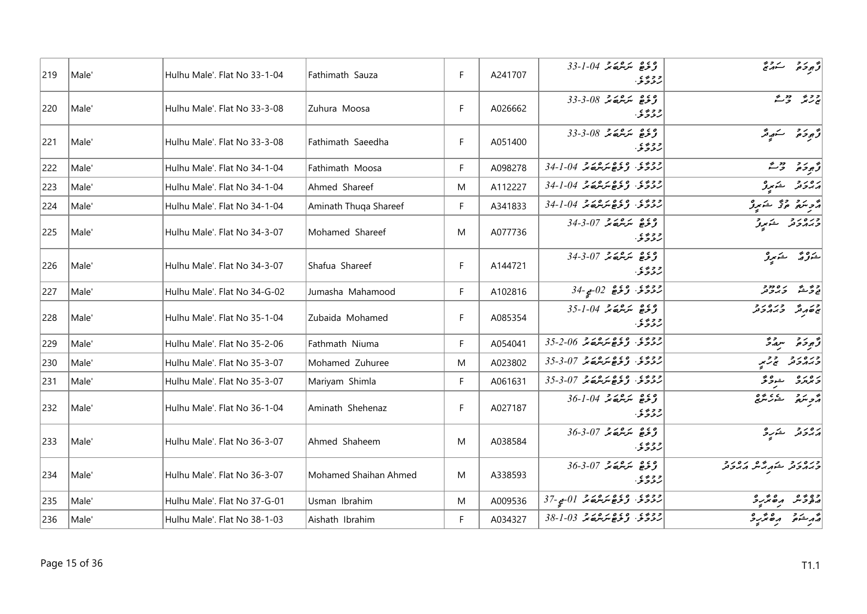| 219 | Male' | Hulhu Male'. Flat No 33-1-04 | Fathimath Sauza       | F  | A241707 | وء ۾ س <i>رموم</i> 1-04-33<br>و و و ء .<br>رند <del>و</del> نو                                                 | و ده سرده                                                     |
|-----|-------|------------------------------|-----------------------|----|---------|----------------------------------------------------------------------------------------------------------------|---------------------------------------------------------------|
| 220 | Male' | Hulhu Male'. Flat No 33-3-08 | Zuhura Moosa          | F. | A026662 | وْ دْ ھِ سَرْسْھَ سْ 33-3-08<br>ج و بر ي.<br>رنگوري                                                            | ج حريج متحر شر                                                |
| 221 | Male' | Hulhu Male'. Flat No 33-3-08 | Fathimath Saeedha     | F. | A051400 | <b>33-3-08</b> مَرْسْهَة حَمْل 33-3-48<br><u>رووي.</u>                                                         | تؤجر فرقم الشمرين                                             |
| 222 | Male' | Hulhu Male'. Flat No 34-1-04 | Fathimath Moosa       | F. | A098278 | 34-1-04 توقيع مرسمة كى 1-1-34                                                                                  | توجوحو ومشم                                                   |
| 223 | Male' | Hulhu Male'. Flat No 34-1-04 | Ahmed Shareef         | M  | A112227 | 34-1-04 تركم مرتفقة 1-04-34                                                                                    | رەر ئىسىمبى<br>مەركىر ئىسىمبىر                                |
| 224 | Male' | Hulhu Male'. Flat No 34-1-04 | Aminath Thuqa Shareef | F. | A341833 | 34-1-04 توقيع مرتبر 1-04-34                                                                                    | ة<br>أمر سمي وفق كمبرو<br>ورور و مستميرو<br>ورور و مستميرو    |
| 225 | Male' | Hulhu Male'. Flat No 34-3-07 | Mohamed Shareef       | M  | A077736 | $34 - 3 - 07$ $222 - 82$<br>و و و ء .<br>رند <del>و</del> نو                                                   |                                                               |
| 226 | Male' | Hulhu Male'. Flat No 34-3-07 | Shafua Shareef        | F. | A144721 | <i>34-3-07 كرمۇمۇ</i> 34-3-47<br>و و و ي.<br>رنونوگو                                                           | شووړ شمېرو                                                    |
| 227 | Male' | Hulhu Male'. Flat No 34-G-02 | Jumasha Mahamood      | F  | A102816 | 34 - د محمد المحمد المع المحمد المحمد المحمد المحمد المحمد المحمد المحمد المحمد المحمد المحمد المحمد المحمد ال | و گرندگا<br>ر ه دو و<br>تر بر تر تر                           |
| 228 | Male' | Hulhu Male'. Flat No 35-1-04 | Zubaida Mohamed       | F. | A085354 | ووق <del>م</del> رم من 1-04-35<br><u>رووي.</u>                                                                 | כל כל פיסי כ                                                  |
| 229 | Male' | Hulhu Male'. Flat No 35-2-06 | Fathmath Niuma        | F. | A054041 | 35-2-06 كوفى مەسىم كى 2-06-35                                                                                  | ۇ بوخ <sup>ى</sup><br>سرچ پی                                  |
| 230 | Male' | Hulhu Male'. Flat No 35-3-07 | Mohamed Zuhuree       | M  | A023802 | 35-3-07 روم مرمود 35-3-35                                                                                      |                                                               |
| 231 | Male' | Hulhu Male'. Flat No 35-3-07 | Mariyam Shimla        | F. | A061631 | 35-3-07 وقوع مرتبوعة ح.7-3-35                                                                                  | شود څخه<br>ر ه بر ه<br>تر <del>ب</del> ر بر ژ                 |
| 232 | Male' | Hulhu Male'. Flat No 36-1-04 | Aminath Shehenaz      | F. | A027187 | <i>36-1-04 كرومة 1-1-36</i><br>و و و ء .<br>رو و و .                                                           | ے <sup>2</sup> پڑھ<br>ړ د سره                                 |
| 233 | Male' | Hulhu Male'. Flat No 36-3-07 | Ahmed Shaheem         | M  | A038584 | <i>36-3-07 كروهة 36-3-67</i><br>و و و ء .<br>رند <del>و</del> نو                                               | برەر دىمرو                                                    |
| 234 | Male' | Hulhu Male'. Flat No 36-3-07 | Mohamed Shaihan Ahmed | M  | A338593 | $36 - 3 - 07$ $222 - 82$<br>و و و ء .<br>رند <del>و</del> و .                                                  | ورەرو بەر بەھ رەرو<br><i>دىد</i> ەردىر شەرىگىر <i>م</i> ەردىر |
| 235 | Male' | Hulhu Male'. Flat No 37-G-01 | Usman Ibrahim         | M  | A009536 | وووي وءومرومري 10-ي <sub>و-3</sub> 7                                                                           | وووه مقرره                                                    |
| 236 | Male' | Hulhu Male'. Flat No 38-1-03 | Aishath Ibrahim       | F. | A034327 | 38-1-03 ر <i>وفي مرمومة ح.</i> 1-03-38                                                                         | مەيدىق مەمگرى                                                 |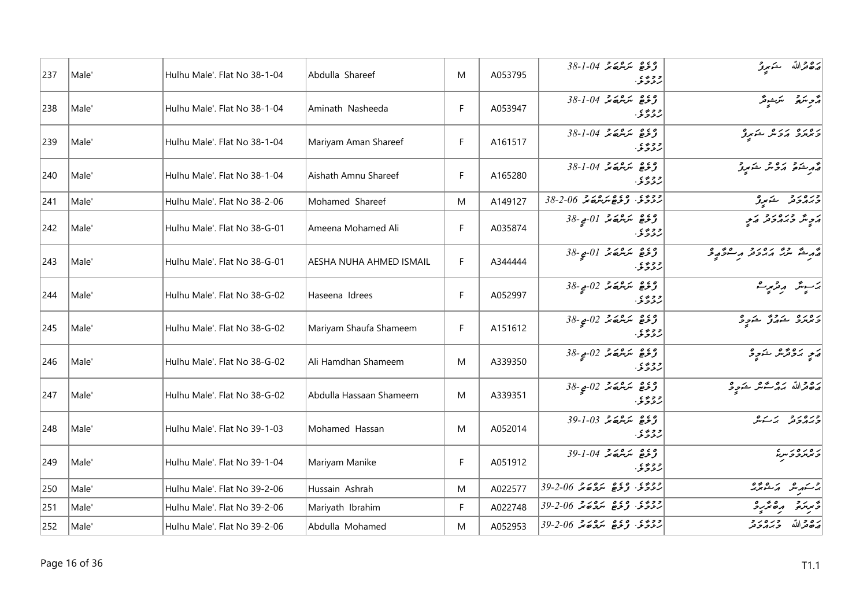| 237           | Male' | Hulhu Male'. Flat No 38-1-04 | Abdulla Shareef         | M  | A053795 | ووه شرق 1-04-38<br>و و و ء .<br>رنو د تو .                                    | أرة محمدالله متومير                             |
|---------------|-------|------------------------------|-------------------------|----|---------|-------------------------------------------------------------------------------|-------------------------------------------------|
| 238           | Male' | Hulhu Male'. Flat No 38-1-04 | Aminath Nasheeda        | F  | A053947 | <i>38-1-04 كروه تر 1-04-38</i><br>و و و ي.<br>رنگوري                          | أأرض المتحفظ                                    |
| 239           | Male' | Hulhu Male'. Flat No 38-1-04 | Mariyam Aman Shareef    | F  | A161517 | <i>38-1-04 كرم 1-04-38</i><br>و و و ي.<br>رنونوگو                             | و دره در در شهرو                                |
| $ 240\rangle$ | Male' | Hulhu Male'. Flat No 38-1-04 | Aishath Amnu Shareef    | F  | A165280 | <i>38-1-04 كَيْمُوَهُ حَمْدٍ</i> 1-04-38<br>ر و و ء .<br>رند <del>و</del> و . | أقهر خوم أما وها متوافق المستوفر                |
| 241           | Male' | Hulhu Male'. Flat No 38-2-06 | Mohamed Shareef         | M  | A149127 | 38-2-06 ر <i>وۋھ مرموم كى 2-06-38</i>                                         | ورەرو خىرۇ                                      |
| 242           | Male' | Hulhu Male'. Flat No 38-G-01 | Ameena Mohamed Ali      | F  | A035874 | وْ دْ هُ سَرْ سْمَة " 10-ي -38<br>و و و ء .<br>رند <del>و</del> نو            | أرَّجٍ سَ وَبَرَ مَرَ حَرَ فِي الْمَسْتَرَبِّيْ |
| 243           | Male' | Hulhu Male'. Flat No 38-G-01 | AESHA NUHA AHMED ISMAIL | F. | A344444 | وي مركز حديث 10-ي -38<br>و و و ي.<br>رنگوري                                   | و ديگر سربر در در در مور ديگر                   |
| 244           | Male' | Hulhu Male'. Flat No 38-G-02 | Haseena Idrees          | F  | A052997 | وْ وْ هُ سَرْسْهَ بْرْ -02-ي -38<br>و و و ي.<br>رنگوري                        | پرَ۔۔ میٹر پر مرتبہ ہے                          |
| 245           | Male' | Hulhu Male'. Flat No 38-G-02 | Mariyam Shaufa Shameem  | F  | A151612 | وءو سَرْمُهَ بَرْ -02-مِ-38<br>و و و ء .<br>رند <del>و</del> و .              | أو مرة الشروع الشروع                            |
| 246           | Male' | Hulhu Male'. Flat No 38-G-02 | Ali Hamdhan Shameem     | M  | A339350 | و ۽ وسر <i>وي جي 20-ي</i> -38<br>و و و ي.<br>رنگوري                           | أراد بالملتقا والملتج والملتقا والمحمد          |
| 247           | Male' | Hulhu Male'. Flat No 38-G-02 | Abdulla Hassaan Shameem | M  | A339351 | وْ وْ هُ سَرْسْهَ بْرْ -02-ي -38<br>و و و ي.<br>رنگوري                        | رە داللە بەر ئەر خوچ                            |
| 248           | Male' | Hulhu Male'. Flat No 39-1-03 | Mohamed Hassan          | M  | A052014 | <b>39-1-03</b> مَرْسَمَة حَدَّ 1-03-39<br>و و و ء .<br>رند <del>و</del> و .   | ورەرو پرىش                                      |
| 249           | Male' | Hulhu Male'. Flat No 39-1-04 | Mariyam Manike          | F  | A051912 | <b>39-1-04</b> مَرْمُهُمْ 1-04-39<br>333ع.<br>رنم <b>ر</b> ئر                 | ر ەر ەر يې                                      |
| 250           | Male' | Hulhu Male'. Flat No 39-2-06 | Hussain Ashrah          | M  | A022577 | 39-2-06 مر <i>وغ مروحة ك</i>                                                  | برسكر مركب مركب والمحربر                        |
| 251           | Male' | Hulhu Male'. Flat No 39-2-06 | Mariyath Ibrahim        | F. | A022748 | 2 <i>222. وقي</i> مكر <i>ومة</i> 206-2-39                                     | برە ئۆر ۋ<br>ۇ <sub>مرى</sub> ر ۋ               |
| 252           | Male' | Hulhu Male'. Flat No 39-2-06 | Abdulla Mohamed         | M  | A052953 | 39-2-06 مَرْدَعَة مِنْ 2-06 -39-2                                             | و رە ر د<br>تر پروتر<br>برە تراللە              |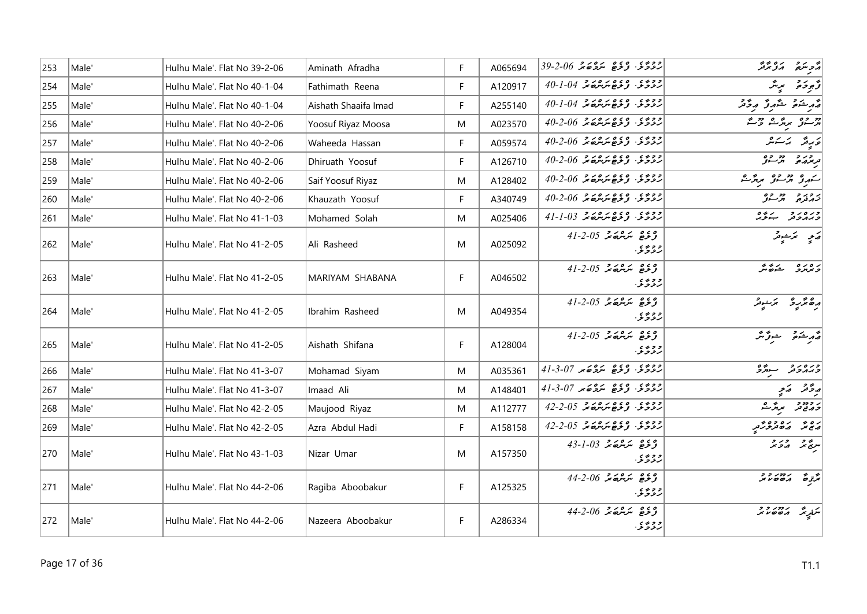| 253 | Male' | Hulhu Male'. Flat No 39-2-06 | Aminath Afradha      | F. | A065694 | 39-2-06 مركزة عدد 206-2-39                                            | أأترضم أأترمهم                             |
|-----|-------|------------------------------|----------------------|----|---------|-----------------------------------------------------------------------|--------------------------------------------|
| 254 | Male' | Hulhu Male'. Flat No 40-1-04 | Fathimath Reena      | F  | A120917 | 222 - ووقع <i>مرمومة كى 1-04-40</i>                                   | ۇۋۇۋە بېرىگە                               |
| 255 | Male' | Hulhu Male'. Flat No 40-1-04 | Aishath Shaaifa Imad | F  | A255140 | 22 <i>32. وفي مربوعة 1-04-40-1</i>                                    | مەرشىمى شەرق مەقىر                         |
| 256 | Male' | Hulhu Male'. Flat No 40-2-06 | Yoosuf Riyaz Moosa   | M  | A023570 | 22 <i>32. وقي مرتبط مركة 2-06-40</i>                                  | ور ده په ده ورځ                            |
| 257 | Male' | Hulhu Male'. Flat No 40-2-06 | Waheeda Hassan       | F  | A059574 | 22 <i>32. وقوع مرمومة بن</i> 2-06-40                                  | قديدًا كاسكانتر                            |
| 258 | Male' | Hulhu Male'. Flat No 40-2-06 | Dhiruath Yoosuf      | F  | A126710 | $40 - 2 - 06$ كَرْدَدْ وَتَوْهِ مَرْسُمَة مْرْ                        | <i>כן כך מרכ</i> ם<br>נקי <i>דו</i> מים וק |
| 259 | Male' | Hulhu Male'. Flat No 40-2-06 | Saif Yoosuf Riyaz    | M  | A128402 | 22 <i>32. وقي مرتبط مركة 2-06-40</i>                                  | أسكور والمراسور المرورث                    |
| 260 | Male' | Hulhu Male'. Flat No 40-2-06 | Khauzath Yoosuf      | F  | A340749 | 22 <i>32. وقي</i> عرش 10-2-40                                         | ر در در در ده<br>زمانورم امر               |
| 261 | Male' | Hulhu Male'. Flat No 41-1-03 | Mohamed Solah        | M  | A025406 | - دوم، ووه مرمود 1-1-03                                               | ورەر دىرە                                  |
| 262 | Male' | Hulhu Male'. Flat No 41-2-05 | Ali Rasheed          | M  | A025092 | $41 - 2 - 05$ $222 - 25$<br>ج و بر ي.<br>رنگوري                       | أركمني المركب وتر                          |
| 263 | Male' | Hulhu Male'. Flat No 41-2-05 | MARIYAM SHABANA      | F  | A046502 | $41 - 2 - 05$ $222 - 25$<br>و و و ء .<br>رندگرنگ                      | شەھ ئىر<br>ر ه ر ه<br><del>د</del> بربرگ   |
| 264 | Male' | Hulhu Male'. Flat No 41-2-05 | Ibrahim Rasheed      | M  | A049354 | $41 - 2 - 05$ $22 - 205$<br>و و و ء .<br>رندگرنگ                      | ەرھەترىر <i>ۋ</i>                          |
| 265 | Male' | Hulhu Male'. Flat No 41-2-05 | Aishath Shifana      | F  | A128004 | $41 - 2 - 05$ $222 - 25$<br>و و و ء .<br>رند <del>و</del> نو          | مەر شەھ ھوق س                              |
| 266 | Male' | Hulhu Male'. Flat No 41-3-07 | Mohamad Siyam        | M  | A035361 | 322 و 20 مركز 11-3-07                                                 | سىدۇ<br>و ر ه ر د<br>تر پر تر تر           |
| 267 | Male' | Hulhu Male'. Flat No 41-3-07 | Imaad Ali            | M  | A148401 | 322 و 23 سرچ من 10-3-41                                               | ە ئەقرىمىسى ئە                             |
| 268 | Male' | Hulhu Male'. Flat No 42-2-05 | Maujood Riyaz        | M  | A112777 | - دوم، ووه شهر 2-05-42-42                                             | ر دود د پرگ                                |
| 269 | Male' | Hulhu Male'. Flat No 42-2-05 | Azra Abdul Hadi      | F  | A158158 | 42-2-05 ر <i>وۋھ برىرى چى 20-2-12</i>                                 | ره پر مدوروپر<br>دی پر مدورتر              |
| 270 | Male' | Hulhu Male'. Flat No 43-1-03 | Nizar Umar           | M  | A157350 | $43 - 1 - 03$ $222 - 22$<br>و و و ي.<br>رندگر                         | سرچ پر در د                                |
| 271 | Male' | Hulhu Male'. Flat No 44-2-06 | Ragiba Aboobakur     | F  | A125325 | ووق <del>مركز 206</del> -44<br>و و و ي.<br>رندگرنو                    | 77777<br>پۇتى تە<br><i>پى</i> رى ت         |
| 272 | Male' | Hulhu Male'. Flat No 44-2-06 | Nazeera Aboobakur    | F  | A286334 | $44 - 2 - 06$ $22 - 26$ $22 - 26$<br>و و و ء .<br>رند <del>و</del> نو | תות המיני ב                                |
|     |       |                              |                      |    |         |                                                                       |                                            |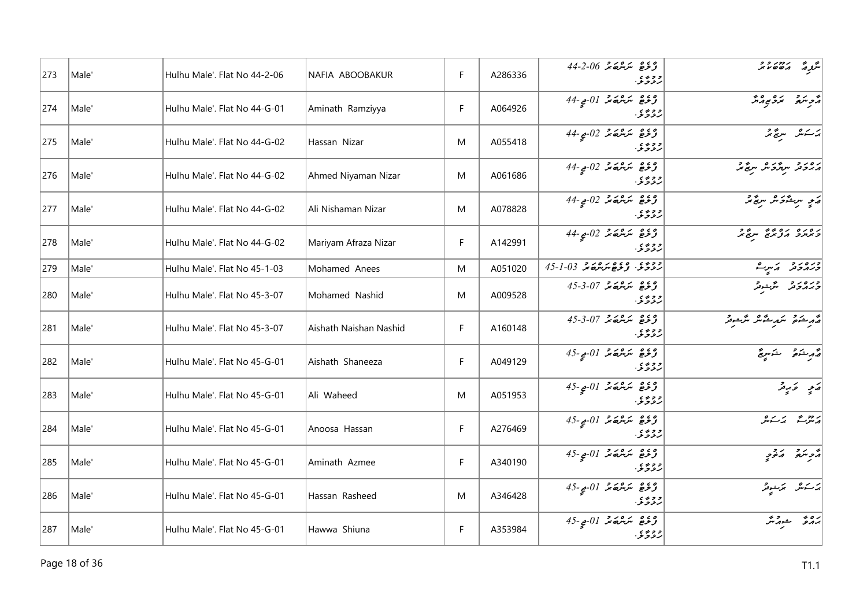| 273 | Male' | Hulhu Male'. Flat No 44-2-06 | NAFIA ABOOBAKUR        | F  | A286336 | ووق سَرْسَهَ سَ 14-2-06<br>ر و و ء .<br>رند <del>و</del> و .            | شرق مقصوم                                    |
|-----|-------|------------------------------|------------------------|----|---------|-------------------------------------------------------------------------|----------------------------------------------|
| 274 | Male' | Hulhu Male'. Flat No 44-G-01 | Aminath Ramziyya       | F. | A064926 | وءو بروم بالمالي-44<br>و و و ء .<br>رنونونو .                           | הכתב תפיפה                                   |
| 275 | Male' | Hulhu Male'. Flat No 44-G-02 | Hassan Nizar           | M  | A055418 | ووق مركزة كا-في-44<br>و و و ء .<br>رنونونو .                            | ىر كەش سونج تىر                              |
| 276 | Male' | Hulhu Male'. Flat No 44-G-02 | Ahmed Niyaman Nizar    | M  | A061686 | وءو س <i>رمغة ج</i> 20-ي-44<br>333ع.<br>رنم <b>و</b> څو                 | גפגב תוצבית תוצית                            |
| 277 | Male' | Hulhu Male'. Flat No 44-G-02 | Ali Nishaman Nizar     | M  | A078828 | و و محمد سر سمان و 14- محمد الله عليه الله<br>و و و ء .<br>رنونونو .    | أرو الرائد و الرائع من                       |
| 278 | Male' | Hulhu Male'. Flat No 44-G-02 | Mariyam Afraza Nizar   | F  | A142991 | وءه مركزة 2 -44<br>333ع.<br>رنم <b>و</b> څو                             | ג בינוע בי הפילי ביו בי                      |
| 279 | Male' | Hulhu Male'. Flat No 45-1-03 | Mohamed Anees          | M  | A051020 | 15-1-03 كوم من المستعدة 15-1-45                                         | ورەر ئەرب                                    |
| 280 | Male' | Hulhu Male'. Flat No 45-3-07 | Mohamed Nashid         | M  | A009528 | ووق <i>سَرْسْهَ بَنْ 10-3-45</i><br>ر و و و .<br>رنگوری                 | ورەرو شىدور                                  |
| 281 | Male' | Hulhu Male'. Flat No 45-3-07 | Aishath Naishan Nashid | F. | A160148 | <i>ووق سرسھنر 07-3-45</i><br>وووي.<br>رنو <del>و</del> نو.              | أَمَّارِ حُوَّةٍ الْمَرْ حُدُّمْ الرَّحْوَةِ |
| 282 | Male' | Hulhu Male'. Flat No 45-G-01 | Aishath Shaneeza       | F  | A049129 | وْوْعْ سَرْسْهَةْ 10-ي-45<br>و و و ي.<br>رندگرنگ                        | وكرمشكم الشكريج                              |
| 283 | Male' | Hulhu Male'. Flat No 45-G-01 | Ali Waheed             | M  | A051953 | وْ وْ عَامِيْتِهْ عَالَى -45<br>ر و و د ي.<br>رند <del>و</del> نو       | أرزمي أوردته                                 |
| 284 | Male' | Hulhu Male'. Flat No 45-G-01 | Anoosa Hassan          | F  | A276469 | ووه مركز قال-مي-45<br>و و و ء .<br>رنونونو .                            | پرچرنے پر سے مر                              |
| 285 | Male' | Hulhu Male'. Flat No 45-G-01 | Aminath Azmee          | F  | A340190 | وْ وْ عَامِيْتِهْ عَالَى -45<br>و و و ي.<br>رنونوگو                     | أأترسكم أأأتأهم                              |
| 286 | Male' | Hulhu Male'. Flat No 45-G-01 | Hassan Rasheed         | M  | A346428 | $45 - 01$ مُرْسَعَة مَدَّ $10 - 4$<br>ر و و د ي.<br>رند <del>و</del> نو | ىز سەنتىكى ئىزىش <sub>و</sub> تىر            |
| 287 | Male' | Hulhu Male'. Flat No 45-G-01 | Hawwa Shiuna           | F. | A353984 | ووق سَرْسَهُ جَلْ 10-ي-45<br>و و و ء .<br>رند <del>و</del> نو           | برە ئەرقىر                                   |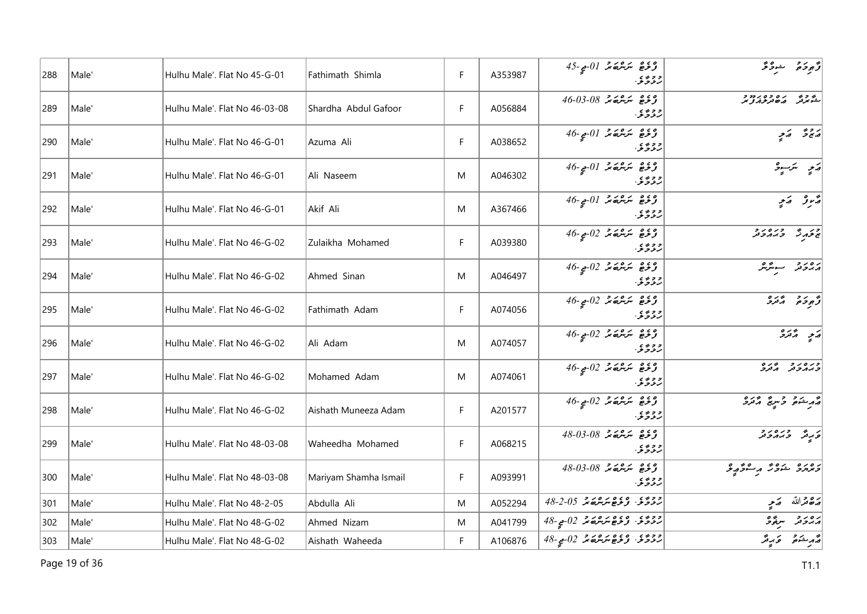| 288 | Male'     | Hulhu Male'. Flat No 45-G-01  | Fathimath Shimla      | F  | A353987 | وءه مكرهة جمال المحافي<br>و و و ء .<br>رند <del>و</del> نو                       | ژوده جرد ژ                              |
|-----|-----------|-------------------------------|-----------------------|----|---------|----------------------------------------------------------------------------------|-----------------------------------------|
| 289 | Male'     | Hulhu Male'. Flat No 46-03-08 | Shardha Abdul Gafoor  | F. | A056884 | $46 - 03 - 08$ $\frac{2}{3}$ $\frac{2}{3}$ $\frac{2}{3}$<br><u>رووي.</u>         | پروژ ده ده در در د<br>شرکتر ماه ترونړنو |
| 290 | Male'     | Hulhu Male'. Flat No 46-G-01  | Azuma Ali             | F. | A038652 | وْوْمْ سَرْسْهَةْ 10-ي-46<br>و و و ي.<br>رنونونو .                               | ړ دی په په                              |
| 291 | Male'     | Hulhu Male'. Flat No 46-G-01  | Ali Naseem            | M  | A046302 | و ۽ وير مري <i>ز جي 10-ي</i> -46<br><u>رووي.</u>                                 | أريموا الترسوق                          |
| 292 | $ $ Male' | Hulhu Male'. Flat No 46-G-01  | Akif Ali              | M  | A367466 | $46 - 01$ وَوَصْحَ سَرَسْهُ جَلَ<br>ر و و و .<br>رنگوری                          | ړننو په په                              |
| 293 | Male'     | Hulhu Male'. Flat No 46-G-02  | Zulaikha Mohamed      | F. | A039380 | ووق سَرْسَهُ جَرْ -46 وَحَ<br>و و و ي.<br>رنونونو .                              | يحورث وبره دو                           |
| 294 | Male'     | Hulhu Male'. Flat No 46-G-02  | Ahmed Sinan           | M  | A046497 | $46 - 02$ وَمَحْرَمٍ سَرَسْهَمْ $20 - 2$<br>ج و بر ي.<br>رنگوري                  | رەرد سەئىر                              |
| 295 | $ $ Male' | Hulhu Male'. Flat No 46-G-02  | Fathimath Adam        | F  | A074056 | $46 - 02$ مَرْسَعَة مَسْتَدَامِيِّ<br>ر و و و .<br>رند <del>و</del> ک            | و د د دره                               |
| 296 | Male'     | Hulhu Male'. Flat No 46-G-02  | Ali Adam              | M  | A074057 | $46 - 02$ وَمَعْ سَرْسَمَة مَدْ $02 - 02$<br>و و و ي.<br>رندگرنو .               | أرشمت أرترو                             |
| 297 | Male'     | Hulhu Male'. Flat No 46-G-02  | Mohamed Adam          | M  | A074061 | $46 - 02$ مَرْسَمَة حَمْد $-02$<br>333ع.<br>رنم <b>و</b> څو                      | ورەر د درە<br><i>دى</i> رمەنر مەنزۈ     |
| 298 | $ $ Male' | Hulhu Male'. Flat No 46-G-02  | Aishath Muneeza Adam  | F. | A201577 | $46 - 02$ وَمَحْظَ سَرَسْهَ حَمْدَ $02 - 02$<br>و و و ء .<br>رند <del>و</del> نو | أمار شام و المرامج المالدو              |
| 299 | $ $ Male' | Hulhu Male'. Flat No 48-03-08 | Waheedha Mohamed      | F. | A068215 | ووم شر <i>م 18-03-08</i><br>و و و ء .<br>رند <del>و</del> نو                     | ورقر ورەرو                              |
| 300 | Male'     | Hulhu Male'. Flat No 48-03-08 | Mariyam Shamha Ismail | F. | A093991 | $48 - 03 - 08$ $\frac{2}{3}$ $\frac{6}{3}$ $\frac{6}{3}$<br><u>رووي.</u>         |                                         |
| 301 | Male'     | Hulhu Male'. Flat No 48-2-05  | Abdulla Ali           | M  | A052294 | 48-2-05 روم مري <i>م هند 2-05-48</i>                                             | يرھ قرالله    يرجي                      |
| 302 | Male'     | Hulhu Male'. Flat No 48-G-02  | Ahmed Nizam           | M  | A041799 | د د د و و و و و مره م د 20-يې -48                                                | رەرو سۆۋ                                |
| 303 | Male'     | Hulhu Male'. Flat No 48-G-02  | Aishath Waheeda       | F  | A106876 | 335 - وي وي عرب من سنة 20- م -48                                                 | أقهر شكوته وكميافر                      |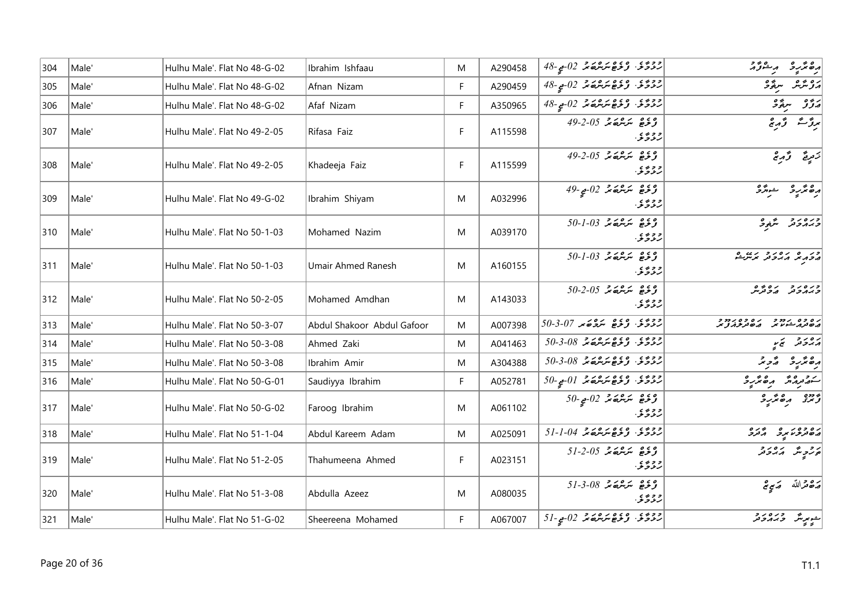| 304   | Male' | Hulhu Male'. Flat No 48-G-02 | Ibrahim Ishfaau            | M | A290458 | دووي: وووم مرموه مراك-ي -48                                        | دەنزرو مشۇد                                                       |
|-------|-------|------------------------------|----------------------------|---|---------|--------------------------------------------------------------------|-------------------------------------------------------------------|
| 305   | Male' | Hulhu Male'. Flat No 48-G-02 | Afnan Nizam                | F | A290459 | دوم، ووء مره مركز 02-م -48                                         | رە دە. سۆۋ                                                        |
| 306   | Male' | Hulhu Male'. Flat No 48-G-02 | Afaf Nizam                 | F | A350965 | دووي. ووقع مرمضة 20-ي-48                                           | سرچو<br>  پر ژو                                                   |
| 307   | Male' | Hulhu Male'. Flat No 49-2-05 | Rifasa Faiz                | F | A115598 | ووق <del>مركز 205</del> -49<br>333ع.<br>مرکو <del>گر</del>         | ىرۇشە<br>ترمرج                                                    |
| 308   | Male' | Hulhu Male'. Flat No 49-2-05 | Khadeeja Faiz              | F | A115599 | ووق <del>مركز 205</del> -49<br>ر و و د .<br>ر ر <del>و</del> څو .  | زَمِيعٌ تَرْمِعُ                                                  |
| 309   | Male' | Hulhu Male'. Flat No 49-G-02 | Ibrahim Shiyam             | M | A032996 | ووم سَرْسَ حَدَّ 12- فِي-49<br>و و و ي.<br>رنونوگو                 | شووگر ژ<br>ەر ھەترىر <i>2</i>                                     |
| 310   | Male' | Hulhu Male'. Flat No 50-1-03 | Mohamed Nazim              | M | A039170 | $50 - 1 - 03$ $222 - 22$<br>و و و ء .<br>رند <del>و</del> نو       | ورەرو شەر                                                         |
| 311   | Male' | Hulhu Male'. Flat No 50-1-03 | Umair Ahmed Ranesh         | M | A160155 | $50 - 1 - 03$ $222 - 22$<br>و و و ي.<br>رند و تو .                 | כן כ ןכן כן גם כ                                                  |
| 312   | Male' | Hulhu Male'. Flat No 50-2-05 | Mohamed Amdhan             | M | A143033 | $50 - 2 - 05$ $259$<br>و و و ء .<br>رند <del>و</del> نو            | ورەرو رەپرە<br><i>جەم</i> ەدىر مەۋىگە                             |
| 313   | Male' | Hulhu Male'. Flat No 50-3-07 | Abdul Shakoor Abdul Gafoor | M | A007398 | 30-3-07 روم شرق من 10-3-50                                         | ر ם כם יירכב ייכול ביירוב ביירוב<br>גם בקה הביטייה והם בקיבה בייר |
| $314$ | Male' | Hulhu Male'. Flat No 50-3-08 | Ahmed Zaki                 | M | A041463 | 32 <i>3 - 33 مارچين تي 18-3-50</i>                                 | برور و برَ با                                                     |
| 315   | Male' | Hulhu Male'. Flat No 50-3-08 | Ibrahim Amir               | M | A304388 | 32 <i>3 - 33 مارچيم كى 3-3-50</i>                                  | مەھەردە مەدىر                                                     |
| 316   | Male' | Hulhu Male'. Flat No 50-G-01 | Saudiyya Ibrahim           | F | A052781 |                                                                    | המנגית תפתיק                                                      |
| 317   | Male' | Hulhu Male'. Flat No 50-G-02 | Faroog Ibrahim             | M | A061102 | $50$ -وِدْعْ سَرْسْهَ بَرْ $02$ -بِي<br>و و و ي.<br>رنونوگو        | و دوه ده تر په و                                                  |
| 318   | Male' | Hulhu Male'. Flat No 51-1-04 | Abdul Kareem Adam          | M | A025091 | 31-1-04 ر <i>وۋھ برمھ پر 1</i> -04-51                              | גם כסג כ"גם "<br>השיניביו יקב" היניב                              |
| 319   | Male' | Hulhu Male'. Flat No 51-2-05 | Thahumeena Ahmed           | F | A023151 | $51 - 2 - 05$ $222 - 205$<br>و و و ي.<br>رنونوگو                   | ەر ئەستىر ئەر ئەر                                                 |
| 320   | Male' | Hulhu Male'. Flat No 51-3-08 | Abdulla Azeez              | M | A080035 | ووق <del>مركز 1</del> 3-08-51<br>و و و ء .<br>رو <del>ؤ</del> تو . | برة قرالله برسي                                                   |
| 321   | Male' | Hulhu Male'. Flat No 51-G-02 | Sheereena Mohamed          | F | A067007 | 32 - وقوع مرش قار - 12 - و - 51                                    | شوبرسر وره رو<br>  شوبرسر وبرارونر                                |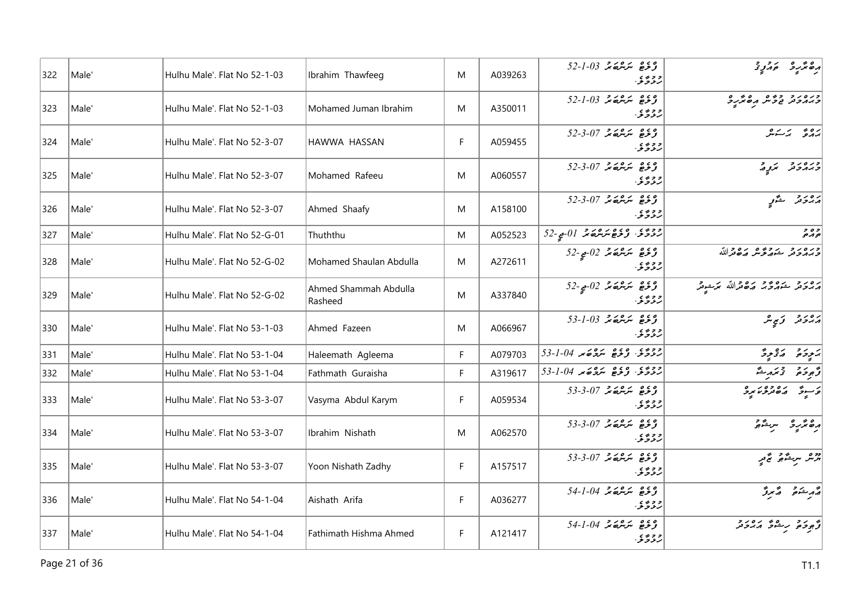| 322 | Male' | Hulhu Male'. Flat No 52-1-03 | Ibrahim Thawfeeg                 | Μ  | A039263 | ووه شر <i>مه خدا</i> -1-52<br>و و و ي.<br>رند و تو .                  | קפי <i>קיקיב פ</i> רקיב                                                                                        |
|-----|-------|------------------------------|----------------------------------|----|---------|-----------------------------------------------------------------------|----------------------------------------------------------------------------------------------------------------|
| 323 | Male' | Hulhu Male'. Flat No 52-1-03 | Mohamed Juman Ibrahim            | M  | A350011 | ووه شر <i>مه خدا</i> -1-52<br>و و و ي.<br>رندگرنگ                     | כנהגב בבת הסתנב                                                                                                |
| 324 | Male' | Hulhu Male'. Flat No 52-3-07 | HAWWA HASSAN                     | F. | A059455 | $52 - 3 - 07$ $22 - 20$<br>و و و ي.<br>رندگرنگ                        | برە ئەسكىر                                                                                                     |
| 325 | Male' | Hulhu Male'. Flat No 52-3-07 | Mohamed Rafeeu                   | M  | A060557 | ووم شرش 07-3-52<br>و و و ي.<br>رند و گر                               | ورەرو بردە                                                                                                     |
| 326 | Male' | Hulhu Male'. Flat No 52-3-07 | Ahmed Shaafy                     | M  | A158100 | ووم <i>مربوم بر 07-3-52</i><br>333ع.<br>مرکو <del>گر</del>            | رەر ئەر                                                                                                        |
| 327 | Male' | Hulhu Male'. Flat No 52-G-01 | Thuththu                         | M  | A052523 | وووي ووومرموري 10-يې-52                                               | و ه د<br>حم                                                                                                    |
| 328 | Male' | Hulhu Male'. Flat No 52-G-02 | Mohamed Shaulan Abdulla          | M  | A272611 | ووقع شركت حدث 02-ي -52<br>ر و و د ي.<br>رنگوري                        | ورەرو برودە برە دالله                                                                                          |
| 329 | Male' | Hulhu Male'. Flat No 52-G-02 | Ahmed Shammah Abdulla<br>Rasheed | M  | A337840 | و و مستقد 20-ي -52<br>وووي.<br>رنو <del>و</del> نو.                   | رەرد شەرەبود رەمزاللە مەشور                                                                                    |
| 330 | Male' | Hulhu Male'. Flat No 53-1-03 | Ahmed Fazeen                     | M  | A066967 | ووم <i>مرشھين</i> 1-03-1-53<br>333 كى.<br>مركون كى.                   | أرور و وَي ش                                                                                                   |
| 331 | Male' | Hulhu Male'. Flat No 53-1-04 | Haleemath Agleema                | F. | A079703 | وووي وي عروض براس 1-04-53                                             |                                                                                                                |
| 332 | Male' | Hulhu Male'. Flat No 53-1-04 | Fathmath Guraisha                | F. | A319617 | 53-1-04 مردة عدد 104-1-53                                             | 7479                                                                                                           |
| 333 | Male' | Hulhu Male'. Flat No 53-3-07 | Vasyma Abdul Karym               | F. | A059534 | <i>53-3-07 كوفران من 33-3-53</i><br>ر و و د ي.<br>رند <del>و</del> نو | وسوش ماه وه در ه                                                                                               |
| 334 | Male' | Hulhu Male'. Flat No 53-3-07 | Ibrahim Nishath                  | M  | A062570 | ووه شهد 07-3-53<br>و و و ي.<br>رندگرنگ                                | أرەنزىر ئىستىم                                                                                                 |
| 335 | Male' | Hulhu Male'. Flat No 53-3-07 | Yoon Nishath Zadhy               | F. | A157517 | ووق <i>سَرْسَه بَرْ</i> 10-3-53<br>ر و و د ي.<br>رند <del>و</del> نو  | أثر مشتر المستمر المحمد المحمد المحمد المحمد المحمد المحمد المحمد المحمد المحمد المحمد المحمد المحمد المحمد ال |
| 336 | Male' | Hulhu Male'. Flat No 54-1-04 | Aishath Arifa                    | F. | A036277 | ووق س <i>تر شهر 1-04-54</i><br>و و و ي.<br>رنونوگو                    | أقهر شكافه الأمراقي                                                                                            |
| 337 | Male' | Hulhu Male'. Flat No 54-1-04 | Fathimath Hishma Ahmed           | F  | A121417 | ووق <del>م</del> رم 1-04-54<br>و و و ي.<br>رند و تو .                 | و د د مشرد و د د د د                                                                                           |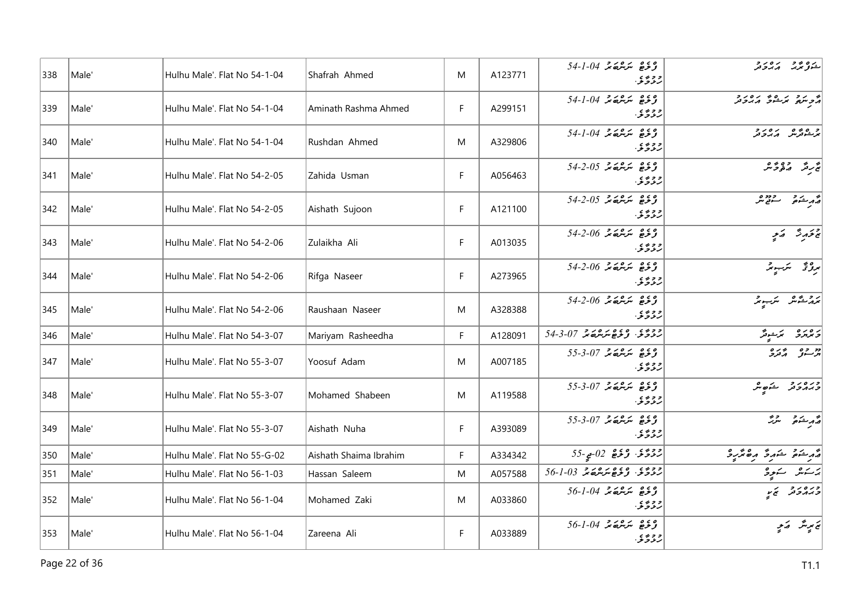| 338 | Male' | Hulhu Male'. Flat No 54-1-04 | Shafrah Ahmed          | M           | A123771 | ووق سَ <i>مِسْهَ حَ</i> 1-04<br>ر و و ء .<br>رند <del>و</del> و . | شو و د بره د و د<br>شوکر پور بر بر بر کار                                     |
|-----|-------|------------------------------|------------------------|-------------|---------|-------------------------------------------------------------------|-------------------------------------------------------------------------------|
| 339 | Male' | Hulhu Male'. Flat No 54-1-04 | Aminath Rashma Ahmed   | F           | A299151 | ووم <i>مرمضغ 1-04-1</i><br>و و و ء .<br>رند <del>و</del> نو       | م و سر و در در در در در د                                                     |
| 340 | Male' | Hulhu Male'. Flat No 54-1-04 | Rushdan Ahmed          | M           | A329806 | وو <sup>ء</sup> مرمض 1-04-54<br>و و و ء .<br>رندگرنگ              | و ه په مره د و.<br>برڅونرس مربرونر                                            |
| 341 | Male' | Hulhu Male'. Flat No 54-2-05 | Zahida Usman           | F           | A056463 | ووم <i>مرشھىر 54-2-54</i><br>ر و و و .<br>رنگوری                  | تج بەنگەر ھەقەتلەر                                                            |
| 342 | Male' | Hulhu Male'. Flat No 54-2-05 | Aishath Sujoon         | F           | A121100 | ووم <i>مربره پر 54-2-05</i><br>ج و بر ي.<br>رنگوري                | مجمه شوخ در حادو ه<br>درگه در شوخ سر                                          |
| 343 | Male' | Hulhu Male'. Flat No 54-2-06 | Zulaikha Ali           | F.          | A013035 | ووم شرش 16-2-54<br>ر و و د ي.<br>رنگوري                           | يخبر يمنح                                                                     |
| 344 | Male' | Hulhu Male'. Flat No 54-2-06 | Rifga Naseer           | $\mathsf F$ | A273965 | ووم <i>مرشھ پر 2-06-54</i><br>ر و و د ي.<br>رنگوري                | ىرۇق سەيدىر                                                                   |
| 345 | Male' | Hulhu Male'. Flat No 54-2-06 | Raushaan Naseer        | M           | A328388 | ووق س <i>تر شهر 16-2-54</i><br><u>رووي.</u>                       | ىرويىقى ئىربىدىگە                                                             |
| 346 | Male' | Hulhu Male'. Flat No 54-3-07 | Mariyam Rasheedha      | $\mathsf F$ | A128091 | 34-3-07 روم مريد 34-3-54                                          | و وره پر دیگر                                                                 |
| 347 | Male' | Hulhu Male'. Flat No 55-3-07 | Yoosuf Adam            | M           | A007185 | <i>55-3-07 كوفران 10-3-55</i><br>ر و و د ي.<br>رنگوري             | دد وه په محمده<br>پرسسونې په کندن                                             |
| 348 | Male' | Hulhu Male'. Flat No 55-3-07 | Mohamed Shabeen        | M           | A119588 | وءِ ۽ شهد 07-3-55<br><u>رووي.</u>                                 | ورەرو شەھىر                                                                   |
| 349 | Male' | Hulhu Male'. Flat No 55-3-07 | Aishath Nuha           | $\mathsf F$ | A393089 | ووم ش <i>هده 10-3-55</i><br>ر و و و .<br>رند <del>و</del> ک       | وأمرشتم ترجم                                                                  |
| 350 | Male' | Hulhu Male'. Flat No 55-G-02 | Aishath Shaima Ibrahim | F           | A334342 | $55 - 02$ وَوَصَحْ $3 - 02$ مِي -55                               |                                                                               |
| 351 | Male' | Hulhu Male'. Flat No 56-1-03 | Hassan Saleem          | M           | A057588 | 36-1-03 كون مر من 1-03-56                                         | <i>مگر مشکور دیگر در مگردی</i><br>م <i>گر مشکور در مگردی</i><br>برگرمن مگروری |
| 352 | Male' | Hulhu Male'. Flat No 56-1-04 | Mohamed Zaki           | M           | A033860 | $56 - 1 - 04$ $222 - 82$<br>و و و ي.<br>رنونوگو                   | ورورو ي                                                                       |
| 353 | Male' | Hulhu Male'. Flat No 56-1-04 | Zareena Ali            | F           | A033889 | ووم شرش 1-04-56<br><u>رووي.</u>                                   | ىم پرېتر - مەيچ                                                               |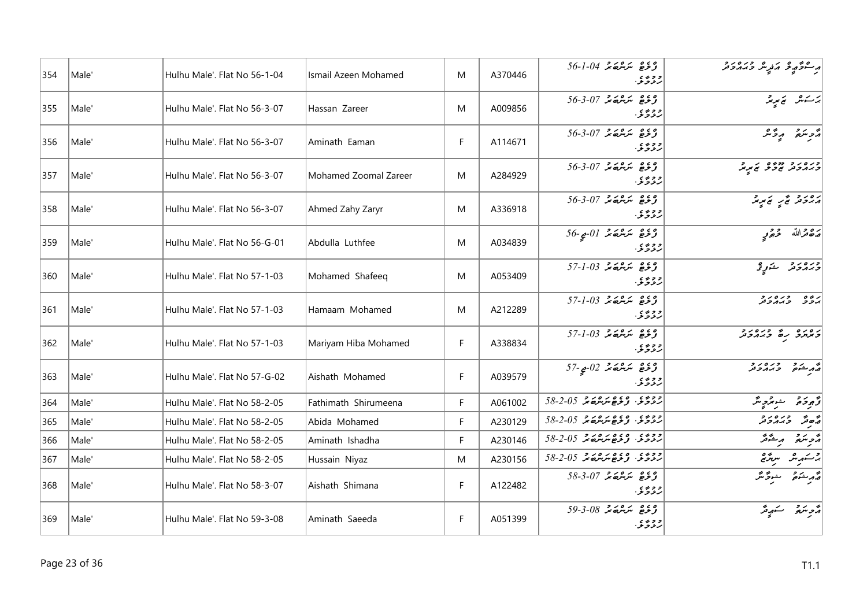| 354 | Male' | Hulhu Male'. Flat No 56-1-04 | Ismail Azeen Mohamed  | M           | A370446 | $56 - 1 - 04$ $222 - 82$<br>و و و ء .<br>رنو بو تو .                | و گوهر و کافر مرکز در در د                         |
|-----|-------|------------------------------|-----------------------|-------------|---------|---------------------------------------------------------------------|----------------------------------------------------|
| 355 | Male' | Hulhu Male'. Flat No 56-3-07 | Hassan Zareer         | M           | A009856 | $56 - 3 - 07$ $222 - 56$<br>و و و ء .<br>رو <del>ؤ</del> تو .       | پرستمبر سے پی پر                                   |
| 356 | Male' | Hulhu Male'. Flat No 56-3-07 | Aminath Eaman         | F           | A114671 | $56 - 3 - 07$ $222 - 56$<br>و و و ء .<br>رو و و .                   | ړې شره په د کل                                     |
| 357 | Male' | Hulhu Male'. Flat No 56-3-07 | Mohamed Zoomal Zareer | M           | A284929 | $56 - 3 - 07$ $222 - 82$<br>ر و و ء .<br>رند <del>و</del> نو        | ور ٥ ر و ۔ دورہ و ر ر د<br>د بربرد تر برگر کا مریم |
| 358 | Male' | Hulhu Male'. Flat No 56-3-07 | Ahmed Zahy Zaryr      | M           | A336918 | $56 - 3 - 07$ $222 - 82$<br>و و و ء .<br>رند <del>و</del> و .       | رەرو ئې ئەيدىگە                                    |
| 359 | Male' | Hulhu Male'. Flat No 56-G-01 | Abdulla Luthfee       | M           | A034839 | $56 - 01$ مُرْسَمَة مَنْ $10 - 4$<br>و و و ء .<br>روونو.            | أصفحتهالله تحجومي                                  |
| 360 | Male' | Hulhu Male'. Flat No 57-1-03 | Mohamed Shafeeq       | M           | A053409 | $57 - 1 - 03$ $222 - 22$<br>و و و ء .<br>رند <del>و</del> و .       | ورەر دېم ئىكتى ئى                                  |
| 361 | Male' | Hulhu Male'. Flat No 57-1-03 | Hamaam Mohamed        | M           | A212289 | ووم <i>مرمضغ 1</i> -03-57<br><u>رووي.</u>                           | ر ده وره رو<br>بروژ وبروتر                         |
| 362 | Male' | Hulhu Male'. Flat No 57-1-03 | Mariyam Hiba Mohamed  | F           | A338834 | ووق <del>مركز 1</del> -03 -1-57<br>و و و ء .<br>رند <del>و</del> نو | נסנס נם כנסנכ                                      |
| 363 | Male' | Hulhu Male'. Flat No 57-G-02 | Aishath Mohamed       | F.          | A039579 | ووقع مركبه في 12- في-57<br>ج و بر ي.<br>رنگوري                      | و دره دره در در د                                  |
| 364 | Male' | Hulhu Male'. Flat No 58-2-05 | Fathimath Shirumeena  | F.          | A061002 | 38-2-05 ر <i>وۋھ مرموم كى 2-05-</i> 58                              | تۇھ چە ئەسىسى ئىستىر ئىگە                          |
| 365 | Male' | Hulhu Male'. Flat No 58-2-05 | Abida Mohamed         | F.          | A230129 | 38-2-05 ر <i>وفي مربوعة ب</i> ـ 2-05-58                             |                                                    |
| 366 | Male' | Hulhu Male'. Flat No 58-2-05 | Aminath Ishadha       | F.          | A230146 | 58-2-05 دىۋە ئىر 2-05-58-58                                         | أأدمتهم ويشقر                                      |
| 367 | Male' | Hulhu Male'. Flat No 58-2-05 | Hussain Niyaz         | M           | A230156 | 38-2-05 ر <i>وفي مرمومة كي 2-05-</i> 58                             | يز سكر مثل المريد من المريض                        |
| 368 | Male' | Hulhu Male'. Flat No 58-3-07 | Aishath Shimana       | $\mathsf F$ | A122482 | ووم <i>مربوم بر 07-3-58</i><br><u>رووي.</u>                         | أمام يشكاهم الشوقانين                              |
| 369 | Male' | Hulhu Male'. Flat No 59-3-08 | Aminath Saeeda        | F           | A051399 | ووم شهد 08-3-59<br>و و و ء .<br>رند <del>و</del> نو                 | ړې سکو سکو سکو                                     |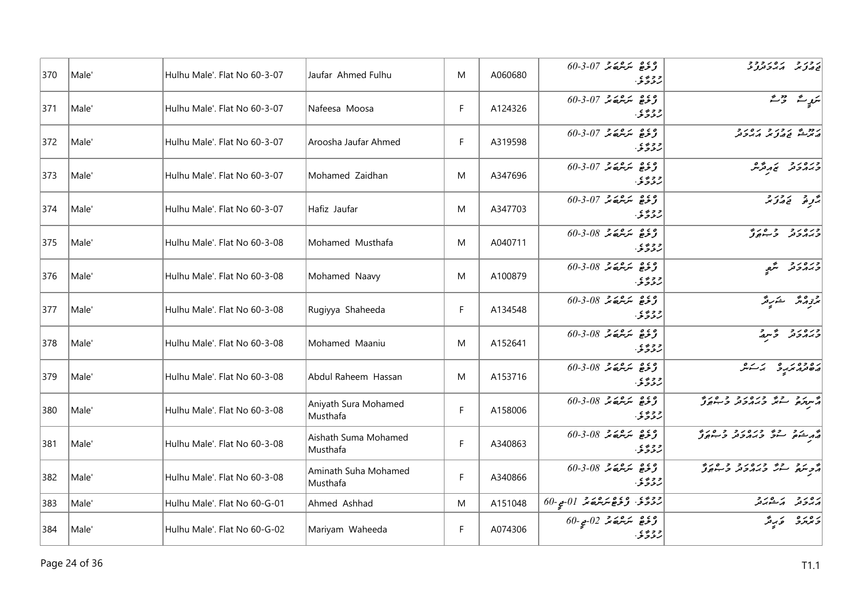| 370 | Male' | Hulhu Male'. Flat No 60-3-07 | Jaufar Ahmed Fulhu               | M           | A060680 | $60 - 3 - 07$ $222 - 82$<br>و و و ء .<br>رند <del>و</del> نو            | ر כי כ"ג ביני כל<br>המקיל היל ביני ל      |
|-----|-------|------------------------------|----------------------------------|-------------|---------|-------------------------------------------------------------------------|-------------------------------------------|
| 371 | Male' | Hulhu Male'. Flat No 60-3-07 | Nafeesa Moosa                    | F           | A124326 | $60 - 3 - 07$ $222 - 69$<br>و و و ء .<br>رندگرنگ                        | سَرِے رَّے                                |
| 372 | Male' | Hulhu Male'. Flat No 60-3-07 | Aroosha Jaufar Ahmed             | F.          | A319598 | $60 - 3 - 07$ $222 - 60$<br><u>رووي.</u>                                | ני מי ניכני ניסיון.<br>הית ל- להרית הניכת |
| 373 | Male' | Hulhu Male'. Flat No 60-3-07 | Mohamed Zaidhan                  | M           | A347696 | $60 - 3 - 07$ $222 - 82$<br>ج و بر ي.<br>رنگوري                         | ورەرو پەرترس                              |
| 374 | Male' | Hulhu Male'. Flat No 60-3-07 | Hafiz Jaufar                     | M           | A347703 | $60 - 3 - 07$ $222 - 60$<br><u>رووي.</u>                                | پژونز مخ های پر                           |
| 375 | Male' | Hulhu Male'. Flat No 60-3-08 | Mohamed Musthafa                 | M           | A040711 | $60 - 3 - 08$ $222 - 68$<br><u>رووي.</u>                                | ورەر دەرد<br>جەمەدىر كەسىر                |
| 376 | Male' | Hulhu Male'. Flat No 60-3-08 | Mohamed Naavy                    | M           | A100879 | $60 - 3 - 08$ $222 - 68$<br><u>رووي.</u>                                | ورەر دېگھي                                |
| 377 | Male' | Hulhu Male'. Flat No 60-3-08 | Rugiyya Shaheeda                 | F           | A134548 | $60 - 3 - 08$ $222 - 60$<br>و و و ي.<br>رند و تو .                      | حرى مۇ سەر قىر                            |
| 378 | Male' | Hulhu Male'. Flat No 60-3-08 | Mohamed Maaniu                   | M           | A152641 | $60 - 3 - 08$ $222 - 68$<br>و و و ء .<br>رو و و .                       | כנסנכ בית                                 |
| 379 | Male' | Hulhu Male'. Flat No 60-3-08 | Abdul Raheem Hassan              | M           | A153716 | $60 - 3 - 08$ $222 - 60$<br>ج و بر ي.<br>رنگوري                         | גפרפיג פי גבית                            |
| 380 | Male' | Hulhu Male'. Flat No 60-3-08 | Aniyath Sura Mohamed<br>Musthafa | $\mathsf F$ | A158006 | $60 - 3 - 08$ $222 - 8$<br><u>رووي.</u>                                 |                                           |
| 381 | Male' | Hulhu Male'. Flat No 60-3-08 | Aishath Suma Mohamed<br>Musthafa | F.          | A340863 | $60 - 3 - 08$ $222 - 68$<br>و و و ي.<br>رنونوگو                         |                                           |
| 382 | Male' | Hulhu Male'. Flat No 60-3-08 | Aminath Suha Mohamed<br>Musthafa | F           | A340866 | $\overline{60}$ -3-08 حَرَمْهُمْ $-3$ -08<br>ر و و ء .<br>رندگرمو       |                                           |
| 383 | Male' | Hulhu Male'. Flat No 60-G-01 | Ahmed Ashhad                     | M           | A151048 | $60$ - جَرْجَرْ وَ جَرْمَ مَرْسُ مَعْرَ $10$ - جِ                       | رەرد كەشەرد<br>مەركىس مەشەر               |
| 384 | Male' | Hulhu Male'. Flat No 60-G-02 | Mariyam Waheeda                  | F.          | A074306 | $60$ -وِدْعْ سَرْسْهَ مَنْ $02$ -وِ<br>و و و ء .<br>رند <del>و</del> نو | رەرە رېڭ                                  |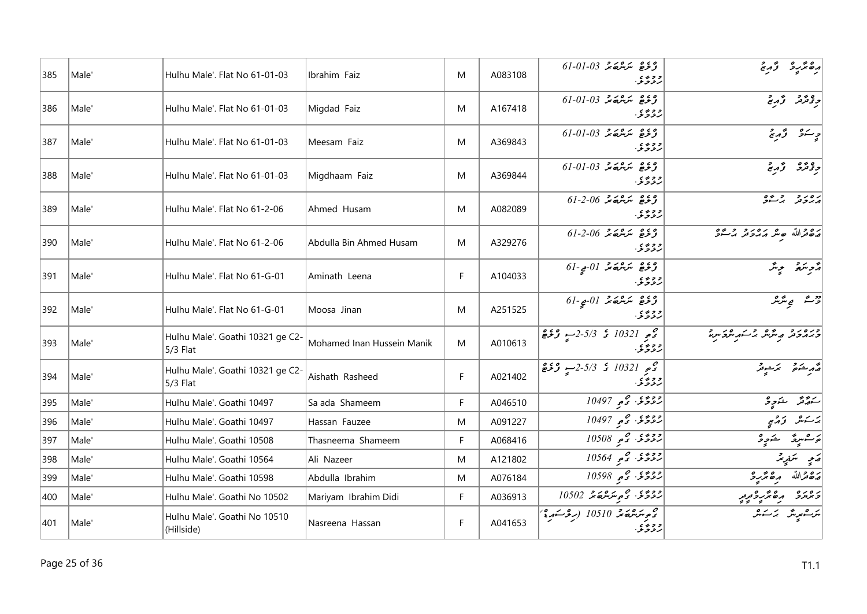| 385 | Male' | Hulhu Male'. Flat No 61-01-03                  | Ibrahim Faiz               | M  | A083108 | $61 - 01 - 03$ $222 - 02$<br>و و و ء .<br>رند <del>و</del> نو           | وە ئۆر ئەرى                             |
|-----|-------|------------------------------------------------|----------------------------|----|---------|-------------------------------------------------------------------------|-----------------------------------------|
| 386 | Male' | Hulhu Male'. Flat No 61-01-03                  | Migdad Faiz                | M  | A167418 | $61 - 01 - 03$ $222 - 62$<br>و و و ي.<br>رنونونو .                      | جەڭگەر ئۇمى                             |
| 387 | Male' | Hulhu Male'. Flat No 61-01-03                  | Meesam Faiz                | M  | A369843 | $61 - 01 - 03$ $222 - 62$<br>و و و ي.<br>رنونوگو                        | ويسكوه الأمامح                          |
| 388 | Male' | Hulhu Male'. Flat No 61-01-03                  | Migdhaam Faiz              | M  | A369844 | $61 - 01 - 03$ $222 - 82$<br>ر و و و .<br>رند <del>و</del> و .          | وتحتر ترمج                              |
| 389 | Male' | Hulhu Male'. Flat No 61-2-06                   | Ahmed Husam                | M  | A082089 | $61 - 2 - 06$ $222 - 6$<br>و و و ء .<br>رندگرنگ                         | رەرو جەم                                |
| 390 | Male' | Hulhu Male'. Flat No 61-2-06                   | Abdulla Bin Ahmed Husam    | M  | A329276 | $61 - 2 - 06$ $222 - 62$<br>و و و ي.<br>رنونوگو                         | رە داللە ھىر مەدرو دەر                  |
| 391 | Male' | Hulhu Male'. Flat No 61-G-01                   | Aminath Leena              | F. | A104033 | $61 - 01$ مُرْسَعَة مَدَّ $10 - 4$<br>و و و ي.<br>رنونوگو               | أأترمنغ ويثر                            |
| 392 | Male' | Hulhu Male'. Flat No 61-G-01                   | Moosa Jinan                | M  | A251525 | $61 - 01$ $22 - 01$ $22 - 0$<br>و و و ي.<br>رنونوگو                     | <mark>در م</mark> حر میں شریعی ا        |
| 393 | Male' | Hulhu Male'. Goathi 10321 ge C2-<br>$5/3$ Flat | Mohamed Inan Hussein Manik | M  | A010613 | $2 - 5/3$ ءُمِ 10321 ءُ 2-5 $\frac{2}{7}$<br>و و و ي.<br>رنونوگو        | ورەرو پەشكە چەككە ئار ئار               |
| 394 | Male' | Hulhu Male'. Goathi 10321 ge C2-<br>$5/3$ Flat | Aishath Rasheed            | F  | A021402 | $2 - 5/3$ $\leq$ 10321 $\leq$ 2-5/3<br>و و و ء .<br>رند <del>و</del> نو | مەر ئىككى ئىم ئىسونى                    |
| 395 | Male' | Hulhu Male'. Goathi 10497                      | Sa ada Shameem             | F. | A046510 | $10497$ مِحْمَدٌ مِنْ $32$                                              | سەرگە ئىمى ئ                            |
| 396 | Male' | Hulhu Male'. Goathi 10497                      | Hassan Fauzee              | M  | A091227 | $10497$ جِمْعَةً جَمْعِ 10497                                           |                                         |
| 397 | Male' | Hulhu Male'. Goathi 10508                      | Thasneema Shameem          | F. | A068416 | $10508$ جِمْعَةً جَمْعِ 10508                                           | بر ره وروم<br>بر سور وروم<br>موسور شوره |
| 398 | Male' | Hulhu Male'. Goathi 10564                      | Ali Nazeer                 | M  | A121802 | $10564$ جِمْعَةً جَمْعِ $10564$                                         | أركمني أتمني يتمر                       |
| 399 | Male' | Hulhu Male'. Goathi 10598                      | Abdulla Ibrahim            | M  | A076184 | $10598$ جِمْعَةً جَمْعِ 10598                                           | مَعْقَدَاللَّهُ مِعْمَدِهِ              |
| 400 | Male' | Hulhu Male'. Goathi No 10502                   | Mariyam Ibrahim Didi       | F. | A036913 | $10502$ كَمُحَرَّجٌ مِسْتَرْسِعَةٌ $2$                                  | קסקס הסתקפתת<br>בתחב הסתקפתת            |
| 401 | Male' | Hulhu Male'. Goathi No 10510<br>(Hillside)     | Nasreena Hassan            | F. | A041653 | ج م <b>ەسكەھەتمە 10510 (س</b> ۇسكەم قى<br>و و و ء .<br>رنو بو تو .      | لىرىشىرلىگە كەسكىلگە                    |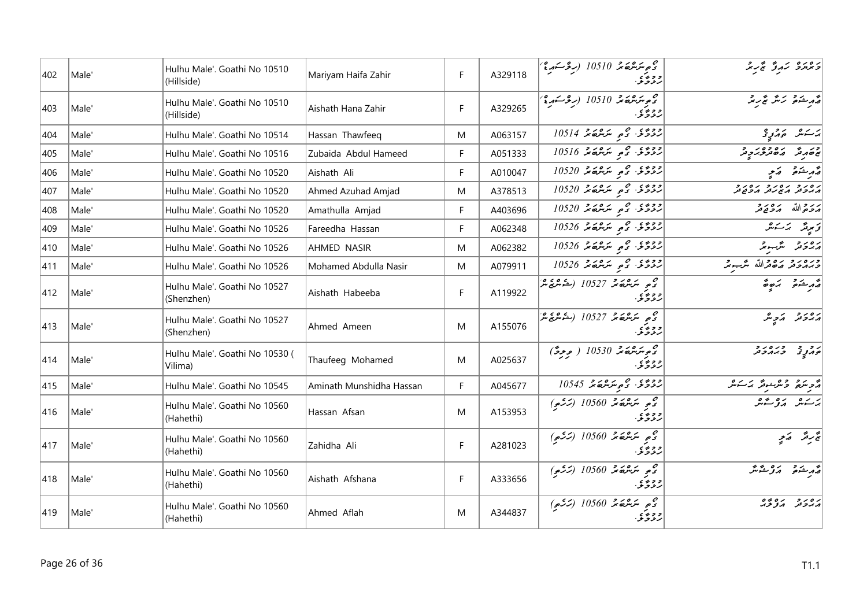| 402 | Male' | Hulhu Male', Goathi No 10510<br>(Hillside) | Mariyam Haifa Zahir      | F  | A329118 | ج م <b>تر ش</b> ھ پر 10510 (س <b>ڑے ہ</b> ے<br>د د وي.<br>رند وگو.        | ومرود رَرِوٌ مِجْرِسٌ                         |
|-----|-------|--------------------------------------------|--------------------------|----|---------|---------------------------------------------------------------------------|-----------------------------------------------|
| 403 | Male' | Hulhu Male'. Goathi No 10510<br>(Hillside) | Aishath Hana Zahir       | F. | A329265 | ج م <i>و متر شھ ئى</i> 10510 (س <b>ۇسى</b> ر ق<br>د و و ء .<br>رند و تو . | مەم ئىسىم ئىر ئىم يىلى                        |
| 404 | Male' | Hulhu Male'. Goathi No 10514               | Hassan Thawfeeq          | Μ  | A063157 |                                                                           | برسەش ئۇرۇپچ                                  |
| 405 | Male' | Hulhu Male'. Goathi No 10516               | Zubaida Abdul Hameed     | F. | A051333 | $10516$ كَمُعَرَّجٌ لَمْ يَعْرِهُمْ $10516$                               | בפתע הסיניביקיל                               |
| 406 | Male' | Hulhu Male'. Goathi No 10520               | Aishath Ali              | F. | A010047 | $10520$ كَمُعَرَّجٌ لَمْ يَعْرِيهُمْ $10520$                              | أقهر يشتموا أترمح                             |
| 407 | Male' | Hulhu Male'. Goathi No 10520               | Ahmed Azuhad Amjad       | M  | A378513 | 233 كومبر مراكبة 10520                                                    | גם גם גם גם גם גב<br>ג'ג'ביני, ג'ביני, גבשיני |
| 408 | Male' | Hulhu Male'. Goathi No 10520               | Amathulla Amjad          | F. | A403696 | رووي. محمد سر مصنع 10520                                                  | برترة الله برويرة                             |
| 409 | Male' | Hulhu Male'. Goathi No 10526               | Fareedha Hassan          | F. | A062348 | $10526$ كَمُعْ مِسْتَمَعْ $10526$                                         | تزىيەتى - ئەستەنتى                            |
| 410 | Male' | Hulhu Male', Goathi No 10526               | AHMED NASIR              | M  | A062382 | $10526$ كَمُعَ مَسْتَرْكَ بِهِ سَرْبَعْتُ $10526$                         | رەرد شەر                                      |
| 411 | Male' | Hulhu Male', Goathi No 10526               | Mohamed Abdulla Nasir    | М  | A079911 | $10526$ كَمُعَ مَسْتَفَقَّعْتُ $10526$                                    | ورەرو رەۋاللە ئۇجوم                           |
| 412 | Male' | Hulhu Male', Goathi No 10527<br>(Shenzhen) | Aishath Habeeba          | F. | A119922 | مى سەھىھەتە 10527 (شەھەم ش<br>ر و و ء .<br>رند <del>و</del> و .           | مەرشى ئەھ                                     |
| 413 | Male' | Hulhu Male', Goathi No 10527<br>(Shenzhen) | Ahmed Ameen              | M  | A155076 | ج م سَرْسَى 10527 (كەشكەنلە<br>د و و ي.<br>رندگرگر                        | גפני גבע                                      |
| 414 | Male' | Hulhu Male'. Goathi No 10530 (<br>Vilima)  | Thaufeeg Mohamed         | M  | A025637 | ەم <i>مىتىھەتى 10530 ( م</i> وجەدى)<br>د د وي.<br>رندگرنو                 | ג כן כנסניכ                                   |
| 415 | Male' | Hulhu Male'. Goathi No 10545               | Aminath Munshidha Hassan | F. | A045677 | 10545 - موس <i>ر هغ</i> ېر 10545                                          | أأوسكم وترجوا كالكر                           |
| 416 | Male' | Hulhu Male'. Goathi No 10560<br>(Hahethi)  | Hassan Afsan             | M  | A153953 | مجمو متر مشتقة 10560 (سَنَعْوِ)<br>و و و ء .<br>رند <del>و</del> و .      | برسەش بروشەشر                                 |
| 417 | Male' | Hulhu Male', Goathi No 10560<br>(Hahethi)  | Zahidha Ali              | F. | A281023 | مى مەشھەتمە 10560 (ئەنئەمى)<br>د د وي.<br>رند وگو.                        | لتج رقته وكامير                               |
| 418 | Male' | Hulhu Male'. Goathi No 10560<br>(Hahethi)  | Aishath Afshana          | F. | A333656 | ثوم مَتَدَّعْقَةَ 10560 (رَئْعُو)<br>و و و ي.<br>رندگرنو .                | مەر شىم مۇشكىر                                |
| 419 | Male' | Hulhu Male'. Goathi No 10560<br>(Hahethi)  | Ahmed Aflah              | M  | A344837 | محمو متر شهد 10560 (سُنَعو)<br>و و و ي.<br>رو و گ                         | ره رو ده وه<br>م.رونر موڅر                    |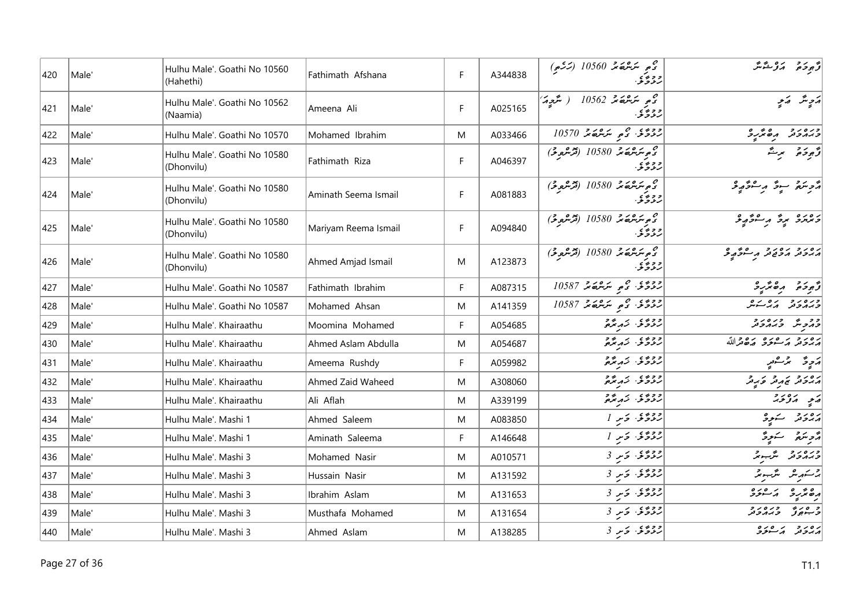| 420 | Male' | Hulhu Male'. Goathi No 10560<br>(Hahethi)  | Fathimath Afshana    | F  | A344838 | محمو مترهقة 10560 (سَنَعو)<br>د و و ء .<br>رند <del>و</del> نو                                      | ژُودَهِ رَوْشَتَر                      |
|-----|-------|--------------------------------------------|----------------------|----|---------|-----------------------------------------------------------------------------------------------------|----------------------------------------|
| 421 | Male' | Hulhu Male'. Goathi No 10562<br>(Naamia)   | Ameena Ali           | F  | A025165 | ج م سَرْسْھَ يَنْ 10562 ( سَّعِيدَ َ<br>د د و تو.<br>رندگرنگ                                        | ړَ پر کړ په                            |
| 422 | Male' | Hulhu Male'. Goathi No 10570               | Mohamed Ibrahim      | M  | A033466 | ر دوي. مي س <i>ر شهر 10570</i>                                                                      | כמתכת תפתיק                            |
| 423 | Male' | Hulhu Male', Goathi No 10580<br>(Dhonvilu) | Fathimath Riza       | F. | A046397 | د <i>گو مترمكھ كى 10580 (قرمگو بى</i><br>و و و ي<br>رنونو نو .                                      | ۇۋۇۋە بېت                              |
| 424 | Male' | Hulhu Male'. Goathi No 10580<br>(Dhonvilu) | Aminath Seema Ismail | F  | A081883 | ج موسَر سْرْعَةَ مْتَى 10580 (قَرْسْرُو قْتَلْ<br>د د وي.<br>رندگرنگ                                | أأوسكم سوفا وستفروغ                    |
| 425 | Male' | Hulhu Male'. Goathi No 10580<br>(Dhonvilu) | Mariyam Reema Ismail | F. | A094840 | ج م سَرْسْمَةَ سُنْ 10580 (قَرْسْمَعِيشَ)<br>و و و ء .<br>رند <del>و</del> نو                       | גם גם גל גם להב                        |
| 426 | Male' | Hulhu Male'. Goathi No 10580<br>(Dhonvilu) | Ahmed Amjad Ismail   | M  | A123873 | ج مەسكەھ كىلەر 10580 (قرىنىۋىتى)<br>و و و ي.<br>رند <del>و</del> نو                                 | גם גם גם גב הסייבת ב                   |
| 427 | Male' | Hulhu Male'. Goathi No 10587               | Fathimath Ibrahim    | F. | A087315 | 22 <i>32. ك<sub>ۇم</sub>ە مەنگەھ</i> ىر 10587                                                       | ژوده مقتر                              |
| 428 | Male' | Hulhu Male'. Goathi No 10587               | Mohamed Ahsan        | M  | A141359 | $10587$ كَمُعْرَفَى الْمَعْرَفَةِ مِنْ الْمَعْرَفَةِ مِنْ الْمَعْرَفَةِ مِنْ الْمَعْرَفَةِ مِنْ الْ | ورەرو رەپ                              |
| 429 | Male' | Hulhu Male'. Khairaathu                    | Moomina Mohamed      | F. | A054685 | رووي. ز <sub>م</sub> ر پژ <sub>م</sub>                                                              | ودونتر ورەرو                           |
| 430 | Male' | Hulhu Male'. Khairaathu                    | Ahmed Aslam Abdulla  | M  | A054687 | د د ه ه .<br>  رندونل . از برنده                                                                    | رەرو رەرە رەمەللە                      |
| 431 | Male' | Hulhu Male'. Khairaathu                    | Ameema Rushdy        | F. | A059982 | ر د د د .<br>رندگر . ز م مربو                                                                       | ړَر په پر شور په                       |
| 432 | Male' | Hulhu Male'. Khairaathu                    | Ahmed Zaid Waheed    | M  | A308060 | وووي. ژوپژ <sub>م</sub>                                                                             | גפלב התב פיב                           |
| 433 | Male' | Hulhu Male'. Khairaathu                    | Ali Aflah            | M  | A339199 | وودي ژړ پژو                                                                                         | أقهم المروجر                           |
| 434 | Male' | Hulhu Male'. Mashi 1                       | Ahmed Saleem         | M  | A083850 | $1 - 2 - 32$                                                                                        | ړه رو شوو                              |
| 435 | Male' | Hulhu Male'. Mashi 1                       | Aminath Saleema      | F. | A146648 | 233 - 3 مر                                                                                          | ړُو سَمَعُ سَوَوَ                      |
| 436 | Male' | Hulhu Male'. Mashi 3                       | Mohamed Nasir        | M  | A010571 | رودی. ځېر 3                                                                                         | ورەرو شەر                              |
| 437 | Male' | Hulhu Male'. Mashi 3                       | Hussain Nasir        | M  | A131592 | 22 د 3 د کامبر 3                                                                                    | برسكر مثر متزبير                       |
| 438 | Male' | Hulhu Male'. Mashi 3                       | Ibrahim Aslam        | M  | A131653 | رژوی: ځېر 3                                                                                         | رەپرىر ئەسىرد                          |
| 439 | Male' | Hulhu Male'. Mashi 3                       | Musthafa Mohamed     | M  | A131654 | 233 - 3 مر 3                                                                                        | و ر ه ر د<br>تر ژگر تر<br>د په دیږ     |
| 440 | Male' | Hulhu Male'. Mashi 3                       | Ahmed Aslam          | Μ  | A138285 | رودی. ځېر 3                                                                                         | גם גם גם גם<br>גגבת גב <del>ינ</del> כ |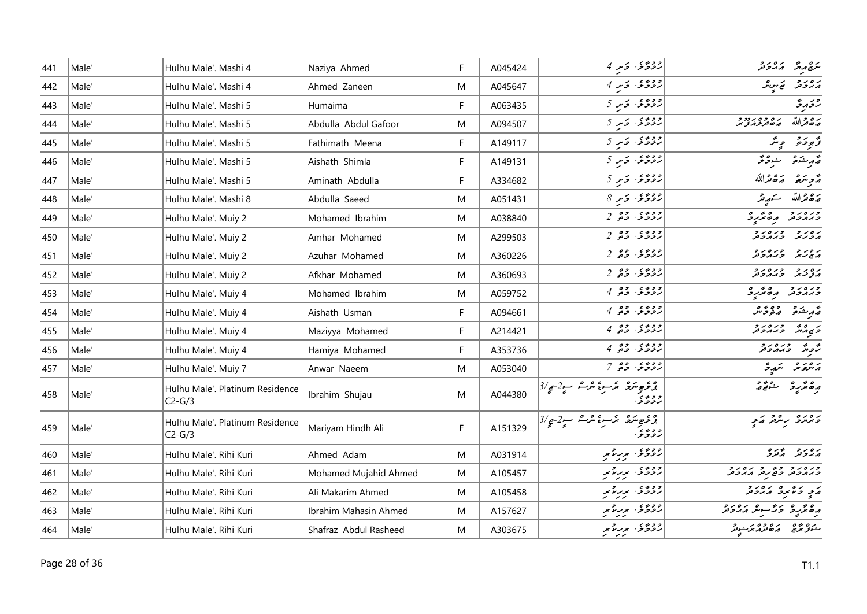| 441 | Male' | Hulhu Male'. Mashi 4                        | Naziya Ahmed          | F           | A045424 | 22 د بو 4                                                        | أشهر مدارد                                                |
|-----|-------|---------------------------------------------|-----------------------|-------------|---------|------------------------------------------------------------------|-----------------------------------------------------------|
| 442 | Male' | Hulhu Male'. Mashi 4                        | Ahmed Zaneen          | M           | A045647 | دووی. ځېر 4                                                      | دەر دېم توپىر                                             |
| 443 | Male' | Hulhu Male'. Mashi 5                        | Humaima               | F           | A063435 | رودي ځې د                                                        | 23 گەنگە                                                  |
| 444 | Male' | Hulhu Male'. Mashi 5                        | Abdulla Abdul Gafoor  | M           | A094507 | رودی، ډَېر 5                                                     | برە ترالله<br>ر ه و ه د رو و<br>پره تر تر تر تر           |
| 445 | Male' | Hulhu Male'. Mashi 5                        | Fathimath Meena       | F           | A149117 | رودي. ځېر 5                                                      | ژُودَهُ دٍیژ                                              |
| 446 | Male' | Hulhu Male'. Mashi 5                        | Aishath Shimla        | F           | A149131 | رودی. ځېر 5                                                      | د.<br><i>مار</i> شومی شورگر                               |
| 447 | Male' | Hulhu Male'. Mashi 5                        | Aminath Abdulla       | F           | A334682 | رودی: ډَېر 5                                                     | ەھەراللە<br>ړ څر سرچ                                      |
| 448 | Male' | Hulhu Male'. Mashi 8                        | Abdulla Saeed         | M           | A051431 | رودی. ځېر 8                                                      | رەقراللە خەرقر                                            |
| 449 | Male' | Hulhu Male'. Muiy 2                         | Mohamed Ibrahim       | M           | A038840 | 2, 2, 3, 5, 2                                                    | برە ئۇرۇ<br>و ر ه ر و<br>تر پر تر تر                      |
| 450 | Male' | Hulhu Male'. Muiy 2                         | Amhar Mohamed         | M           | A299503 | 2, 2, 3, 5, 5, 2                                                 | و ره ر و<br>تر پر ژنر<br>رەرىر                            |
| 451 | Male' | Hulhu Male'. Muiy 2                         | Azuhar Mohamed        | M           | A360226 | 2, 2, 3, 5, 5, 2                                                 | ז כן פנסק כ<br>גביב בגבבת                                 |
| 452 | Male' | Hulhu Male'. Muiy 2                         | Afkhar Mohamed        | M           | A360693 | ووي وه 2<br>رو <del>رو د</del> ه                                 | و رە ر د<br>تر پر تر تر<br>پروژنر                         |
| 453 | Male' | Hulhu Male'. Muiy 4                         | Mohamed Ibrahim       | M           | A059752 | 4.83.555                                                         | ەرھ ئرىر ۋ<br>و ر ه ر د<br>د بر پر تر                     |
| 454 | Male' | Hulhu Male'. Muiy 4                         | Aishath Usman         | F           | A094661 | ووي وه<br>روزو. وه                                               | و و و مر<br>مرخو <b>خ</b> سر<br>ور مشتر د<br>مرکز مشتر می |
| 455 | Male' | Hulhu Male'. Muiy 4                         | Maziyya Mohamed       | F           | A214421 | وووي. وه. 4                                                      | و ره ر و<br><i>و پر</i> و تر<br>خبورهر                    |
| 456 | Male' | Hulhu Male'. Muiy 4                         | Hamiya Mohamed        | F           | A353736 | ووء ۽ وه 4                                                       | رحمر پژ<br>و پر و پر و<br>تر ټرکر فر                      |
| 457 | Male' | Hulhu Male'. Muiy 7                         | Anwar Naeem           | M           | A053040 | وووي وه 7<br>رنولوف وهي 7                                        | برەر دىر ئىر                                              |
| 458 | Male' | Hulhu Male'. Platinum Residence<br>$C2-G/3$ | Ibrahim Shujau        | M           | A044380 | و د ع سره عن ع مراه سو2 - مي/ا<br>و و و ي <sup>.</sup>           | دەنزىرو شىقە                                              |
| 459 | Male' | Hulhu Male'. Platinum Residence<br>$C2-G/3$ | Mariyam Hindh Ali     | $\mathsf F$ | A151329 | و د ع سره که په کار شو د سو2 - يې /?<br>و و و ء .<br>رنو بر تو . | د پرهرو - ر هرو کرم                                       |
| 460 | Male' | Hulhu Male'. Rihi Kuri                      | Ahmed Adam            | M           | A031914 | وووي. <sub>مربر</sub> م بر                                       | ره رو په ده<br>پرکار گرفرو                                |
| 461 | Male' | Hulhu Male', Rihi Kuri                      | Mohamed Mujahid Ahmed | M           | A105457 | وووي.<br>رودگان مور م                                            | ورەر د دېر د رورد                                         |
| 462 | Male' | Hulhu Male'. Rihi Kuri                      | Ali Makarim Ahmed     | M           | A105458 | ر دوي.<br>ر دوي. بررگړ                                           | ג׳בְ בֹשְצְפֵ ג׳פִנֶ                                      |
| 463 | Male' | Hulhu Male'. Rihi Kuri                      | Ibrahim Mahasin Ahmed | M           | A157627 | رومي.<br>  رومي. سررتاس                                          | مەھەر ئەزەر ئەرەر                                         |
| 464 | Male' | Hulhu Male'. Rihi Kuri                      | Shafraz Abdul Rasheed | M           | A303675 | رووی پریزمبر<br> روؤڈ پریزم                                      | ره وه ده ده ده د<br>شور برج در <i>ه در بر</i> شوتر        |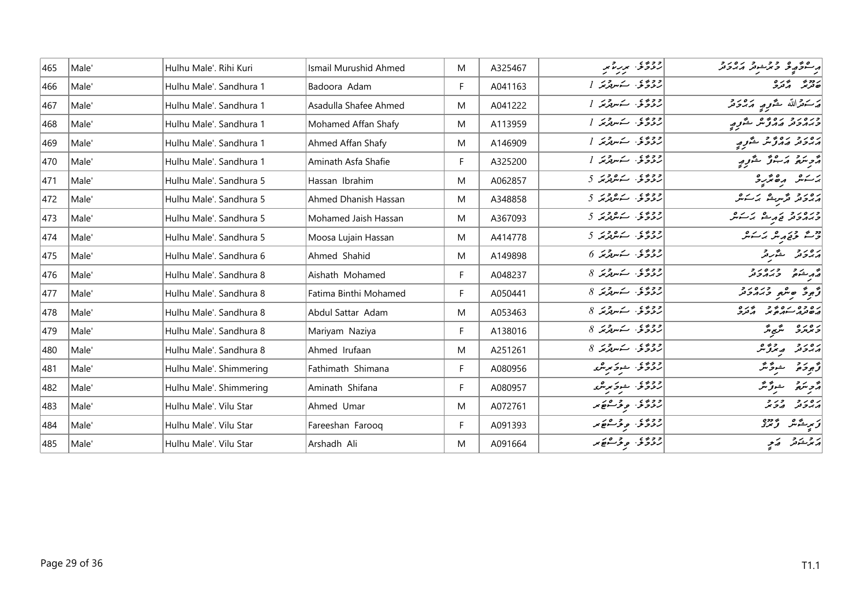| 465 | Male' | Hulhu Male'. Rihi Kuri  | Ismail Murushid Ahmed | M  | A325467 | رووي. بربره بر             | ر موځ په د و و ده د و د و                    |
|-----|-------|-------------------------|-----------------------|----|---------|----------------------------|----------------------------------------------|
| 466 | Male' | Hulhu Male'. Sandhura 1 | Badoora Adam          | F. | A041163 | رودی. سەسەرىمە 1           | ر دو به بره<br>  <i>ه تر بر</i> ارگر         |
| 467 | Male' | Hulhu Male'. Sandhura 1 | Asadulla Shafee Ahmed | M  | A041222 | ئەرگە ئەس <i>ەتەتد</i>     | أرسك والله مشوريه وبروتر                     |
| 468 | Male' | Hulhu Male'. Sandhura 1 | Mohamed Affan Shafy   | M  | A113959 | روۋۇ. سەمدەتمە 1           | ورەر دىرە بەر ئىگەر                          |
| 469 | Male' | Hulhu Male'. Sandhura 1 | Ahmed Affan Shafy     | M  | A146909 | روۋى سەرەتمە 1             | رەر دىرە بەر ئەر                             |
| 470 | Male' | Hulhu Male'. Sandhura 1 | Aminath Asfa Shafie   | F  | A325200 | رودوی، سەسەرىمە            | أأروبتهم أرجاؤ المشور                        |
| 471 | Male' | Hulhu Male'. Sandhura 5 | Hassan Ibrahim        | M  | A062857 | دودی. س <i>تمبره د</i> 5   | ئەسكەر ھەمگرىيى 3                            |
| 472 | Male' | Hulhu Male'. Sandhura 5 | Ahmed Dhanish Hassan  | M  | A348858 | ووي شەھە <i>رى 5</i>       | رەپرو ئۇسىگە بەسكىر                          |
| 473 | Male' | Hulhu Male'. Sandhura 5 | Mohamed Jaish Hassan  | M  | A367093 | رومى. سەھەرىمە 5           | ورەر د تەرگ ئەسەر                            |
| 474 | Male' | Hulhu Male'. Sandhura 5 | Moosa Lujain Hassan   | M  | A414778 | د د دي. س <i>ت</i> مبرټر 5 | ديم محق په ټر شکر                            |
| 475 | Male' | Hulhu Male'. Sandhura 6 | Ahmed Shahid          | M  | A149898 | ارزۇغ. سەرە <i>بىرىز</i> 6 | پروتر څرتر                                   |
| 476 | Male' | Hulhu Male'. Sandhura 8 | Aishath Mohamed       | F. | A048237 | 22 كى ئەس <i>بىرىكە</i> 8  | ه دره دره در د                               |
| 477 | Male' | Hulhu Male', Sandhura 8 | Fatima Binthi Mohamed | F  | A050441 | 33 كى ئەس كەرەر تەركى      | أؤجود ومسمو وبرودر                           |
| 478 | Male' | Hulhu Male', Sandhura 8 | Abdul Sattar Adam     | M  | A053463 | 333 - مەس <i>پرىز</i> 8    | ره وه ره دو د دره<br>پره تربر سهرې پر برترن  |
| 479 | Male' | Hulhu Male'. Sandhura 8 | Mariyam Naziya        | F  | A138016 | رژۇر ئەرەر كە              | ئەتەرىخ<br>ىتىرى دىگە                        |
| 480 | Male' | Hulhu Male'. Sandhura 8 | Ahmed Irufaan         | M  | A251261 | 33 كى ئەس كەرەر تەركى      | أرەر دىرومى                                  |
| 481 | Male' | Hulhu Male'. Shimmering | Fathimath Shimana     | F  | A080956 | 23.3 مىيە ئەسىر ئىرىسى     | ژَهِ دَمَ شَرَدَ سَرَ                        |
| 482 | Male' | Hulhu Male'. Shimmering | Aminath Shifana       | F. | A080957 | رژۇي ھوتەبورىگلىمە         | ے و <i>گر</i> مگر<br>ا تر پر متر <i>م</i> حر |
| 483 | Male' | Hulhu Male'. Vilu Star  | Ahmed Umar            | M  | A072761 | رودي. وتركيبهم             | ر ور و در و                                  |
| 484 | Male' | Hulhu Male'. Vilu Star  | Fareeshan Farooq      | F. | A091393 | روژی، <sub>مو</sub> ژگ ع   | زىرىشەش ۋىرتى                                |
| 485 | Male' | Hulhu Male'. Vilu Star  | Arshadh Ali           | M  | A091664 | رودي. <sub>مو</sub> ثر شهر | پر شوتر کرم پر                               |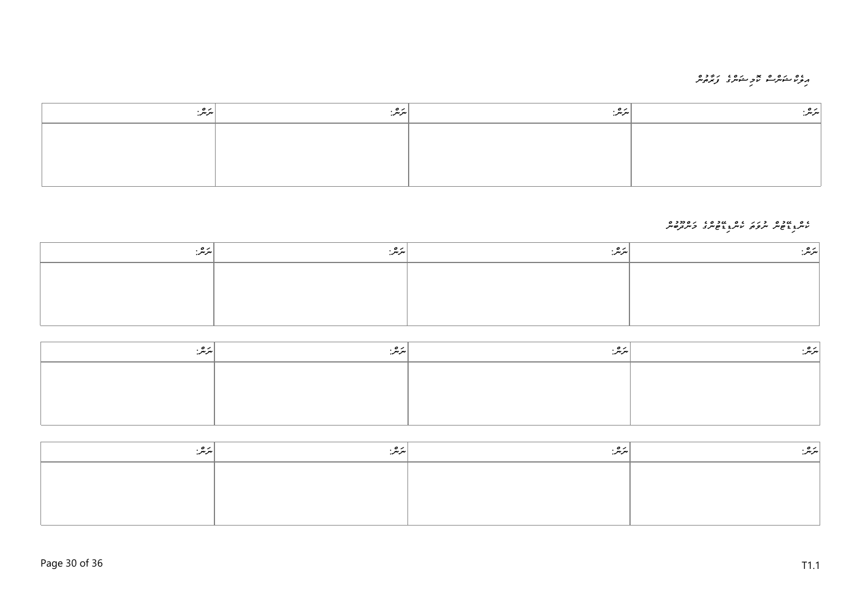## *w7qAn8m? sCw7mRo>u; wEw7mRw;sBo<*

| ' مرمر | 'يئرىثر: |
|--------|----------|
|        |          |
|        |          |
|        |          |

## *w7q9r@w7m> sCw7qHtFoFw7s; mAm=q7 w7qHtFoFw7s;*

| ىر تە | $\mathcal{O} \times$<br>$\sim$ | $\sim$<br>. . | لترنثر |
|-------|--------------------------------|---------------|--------|
|       |                                |               |        |
|       |                                |               |        |
|       |                                |               |        |

| انترنثر: | $^{\circ}$ | يبرهر | $^{\circ}$<br>سرسر |
|----------|------------|-------|--------------------|
|          |            |       |                    |
|          |            |       |                    |
|          |            |       |                    |

| ' ئىرتىر: | سر سر |  |
|-----------|-------|--|
|           |       |  |
|           |       |  |
|           |       |  |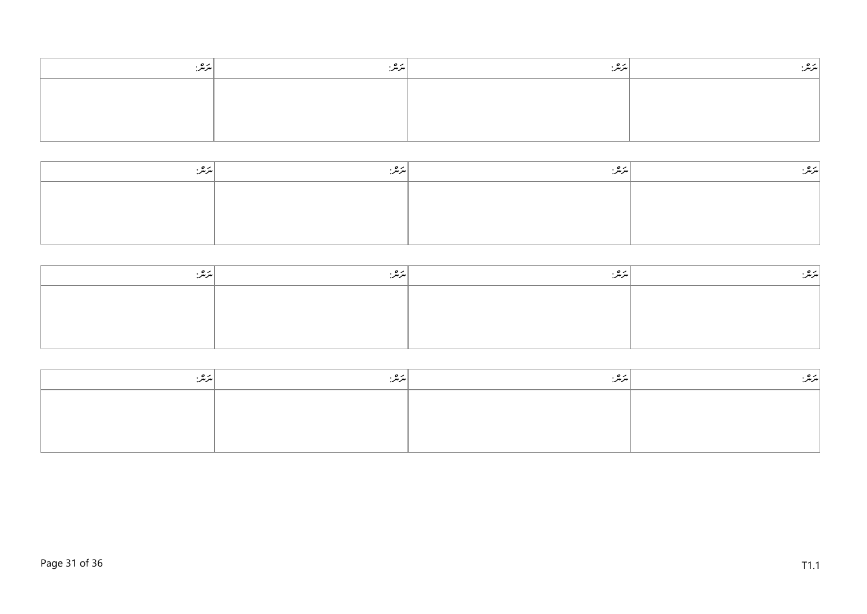| يره. | ο. | ا ير ه |  |
|------|----|--------|--|
|      |    |        |  |
|      |    |        |  |
|      |    |        |  |

| <sup>.</sup> سرسر. |  |
|--------------------|--|
|                    |  |
|                    |  |
|                    |  |

| ىرتىر: | $\sim$ | ا بر هه. | لىرىش |
|--------|--------|----------|-------|
|        |        |          |       |
|        |        |          |       |
|        |        |          |       |

| 。<br>مرس. | $\overline{\phantom{a}}$<br>مر سر | يتريثر |
|-----------|-----------------------------------|--------|
|           |                                   |        |
|           |                                   |        |
|           |                                   |        |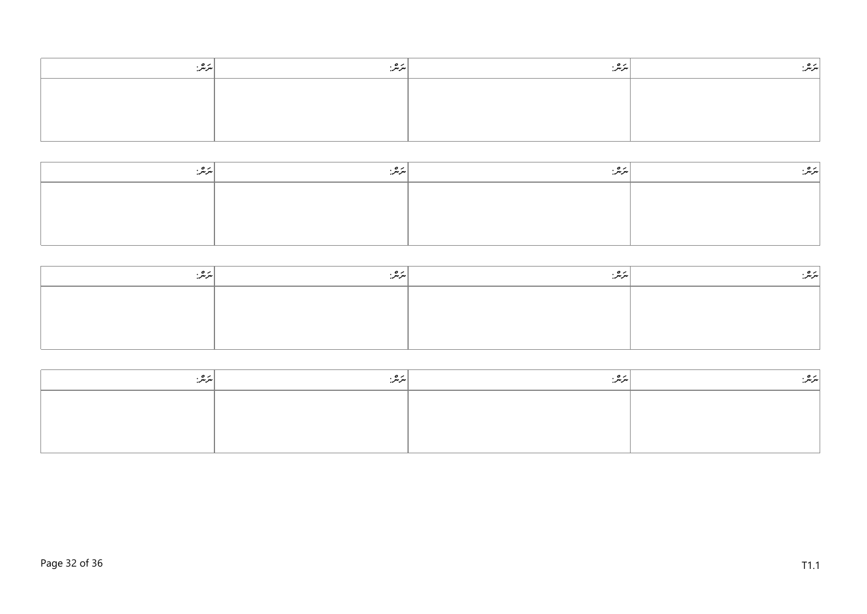| ير هو . | $\overline{\phantom{a}}$ | يرمر | اير هنه. |
|---------|--------------------------|------|----------|
|         |                          |      |          |
|         |                          |      |          |
|         |                          |      |          |

| ئىرتىر: | $\sim$<br>ا سرسر . | يئرمثر | o . |
|---------|--------------------|--------|-----|
|         |                    |        |     |
|         |                    |        |     |
|         |                    |        |     |

| الترنثر: | ' مرتكز: | الترنثر: | .,<br>سرسر. |
|----------|----------|----------|-------------|
|          |          |          |             |
|          |          |          |             |
|          |          |          |             |

|  | . ه |
|--|-----|
|  |     |
|  |     |
|  |     |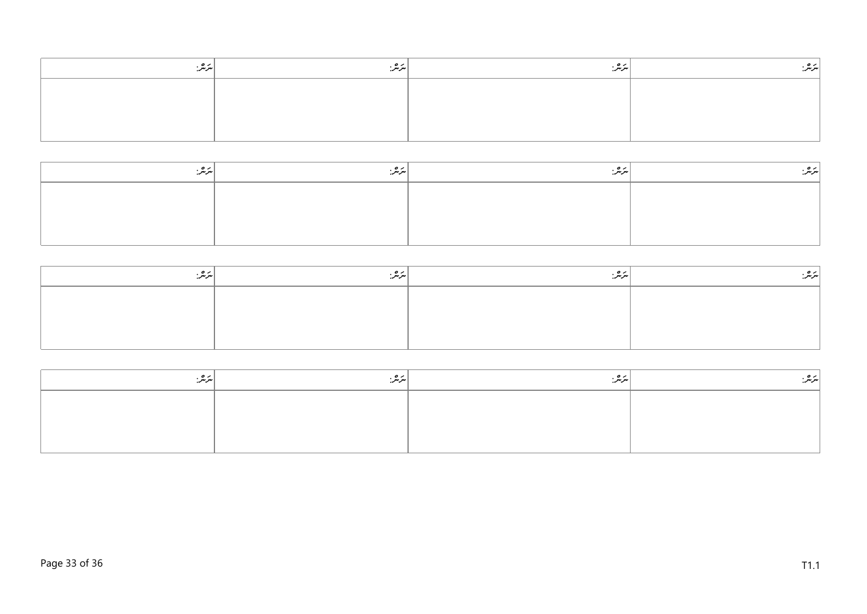| ير هو . | $\overline{\phantom{a}}$ | يرمر | اير هنه. |
|---------|--------------------------|------|----------|
|         |                          |      |          |
|         |                          |      |          |
|         |                          |      |          |

| ىرتىر: | $\circ$ $\sim$<br>ا سرسر. | يئرمير | o . |
|--------|---------------------------|--------|-----|
|        |                           |        |     |
|        |                           |        |     |
|        |                           |        |     |

| الترنثر: | ' مرتكز: | الترنثر: | .,<br>سرسر. |
|----------|----------|----------|-------------|
|          |          |          |             |
|          |          |          |             |
|          |          |          |             |

|  | . ه |
|--|-----|
|  |     |
|  |     |
|  |     |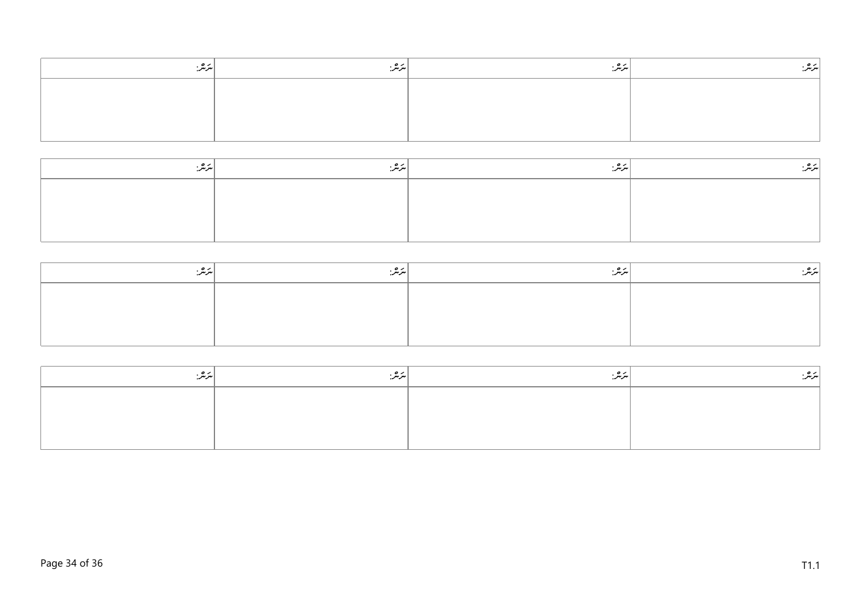| $\cdot$ | ο. | $\frac{\circ}{\cdot}$ | $\sim$<br>سرسر |
|---------|----|-----------------------|----------------|
|         |    |                       |                |
|         |    |                       |                |
|         |    |                       |                |

| ايرعر: | ر ه<br>. . |  |
|--------|------------|--|
|        |            |  |
|        |            |  |
|        |            |  |

| بر ه | 。 | $\sim$<br>َ سومس |  |
|------|---|------------------|--|
|      |   |                  |  |
|      |   |                  |  |
|      |   |                  |  |

| 。<br>. س | ىرىىر |  |
|----------|-------|--|
|          |       |  |
|          |       |  |
|          |       |  |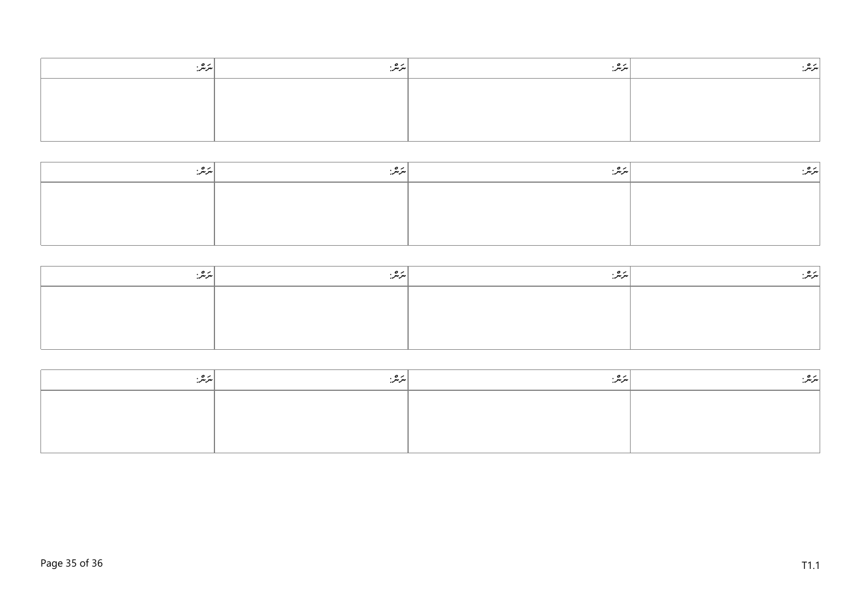| ير هو . | $\overline{\phantom{a}}$ | يرمر | لتزمثن |
|---------|--------------------------|------|--------|
|         |                          |      |        |
|         |                          |      |        |
|         |                          |      |        |

| ئىرتىر: | $\sim$<br>ا سرسر . | يئرمثر | o . |
|---------|--------------------|--------|-----|
|         |                    |        |     |
|         |                    |        |     |
|         |                    |        |     |

| الترنثر: | ' مرتكز: | الترنثر: | .,<br>سرسر. |
|----------|----------|----------|-------------|
|          |          |          |             |
|          |          |          |             |
|          |          |          |             |

|  | . ه |
|--|-----|
|  |     |
|  |     |
|  |     |